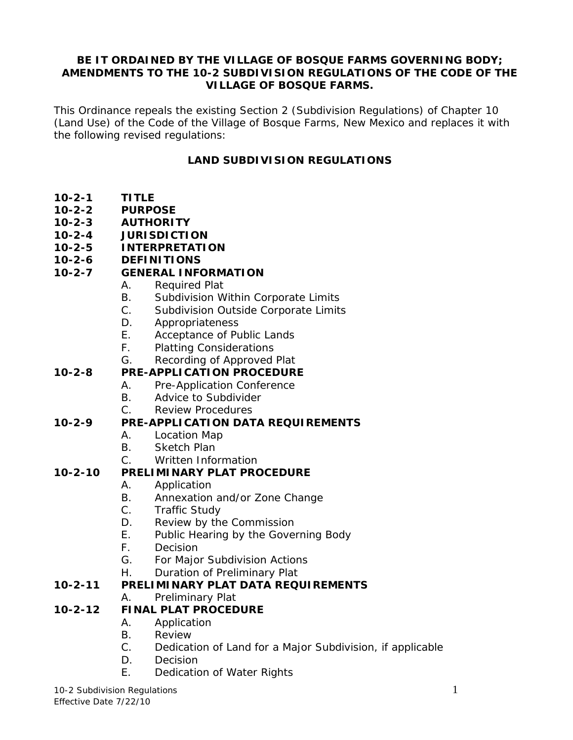#### **BE IT ORDAINED BY THE VILLAGE OF BOSQUE FARMS GOVERNING BODY; AMENDMENTS TO THE 10-2 SUBDIVISION REGULATIONS OF THE CODE OF THE VILLAGE OF BOSQUE FARMS.**

This Ordinance repeals the existing Section 2 (Subdivision Regulations) of Chapter 10 (Land Use) of the Code of the Village of Bosque Farms, New Mexico and replaces it with the following revised regulations:

#### **LAND SUBDIVISION REGULATIONS**

- **10-2-1 TITLE**
- **10-2-2 PURPOSE**
- **10-2-3 AUTHORITY**
- **10-2-4 JURISDICTION**
- **10-2-5 INTERPRETATION**
- **10-2-6 DEFINITIONS**

#### **10-2-7 GENERAL INFORMATION**

- A. Required Plat
- B. Subdivision Within Corporate Limits
- C. Subdivision Outside Corporate Limits
- D. Appropriateness
- E. Acceptance of Public Lands
- F. Platting Considerations
- G. Recording of Approved Plat

#### **10-2-8 PRE-APPLICATION PROCEDURE**

- A. Pre-Application Conference
- B. Advice to Subdivider
- C. Review Procedures

#### **10-2-9 PRE-APPLICATION DATA REQUIREMENTS**

- A. Location Map
- B. Sketch Plan
- C. Written Information

#### **10-2-10 PRELIMINARY PLAT PROCEDURE**

- A. Application
- B. Annexation and/or Zone Change
- C. Traffic Study
- D. Review by the Commission
- E. Public Hearing by the Governing Body
- F. Decision
- G. For Major Subdivision Actions
- H. Duration of Preliminary Plat

#### **10-2-11 PRELIMINARY PLAT DATA REQUIREMENTS**

A. Preliminary Plat

#### **10-2-12 FINAL PLAT PROCEDURE**

- A. Application
- B. Review
- C. Dedication of Land for a Major Subdivision, if applicable
- D. Decision
- E. Dedication of Water Rights

10-2 Subdivision Regulations 1

Effective Date 7/22/10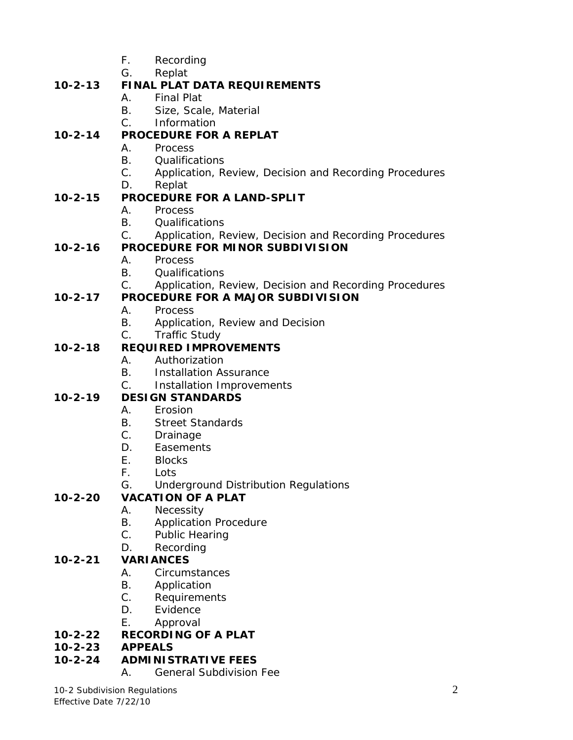- F. Recording
- G. Replat

# **10-2-13 FINAL PLAT DATA REQUIREMENTS**

- A. Final Plat
- B. Size, Scale, Material

#### C. Information **10-2-14 PROCEDURE FOR A REPLAT**

- A. Process
	- B. Qualifications
	- C. Application, Review, Decision and Recording Procedures
	- D. Replat

# **10-2-15 PROCEDURE FOR A LAND-SPLIT**

- A. Process
- B. Qualifications
- C. Application, Review, Decision and Recording Procedures

# **10-2-16 PROCEDURE FOR MINOR SUBDIVISION**

- A. Process
- B. Qualifications
- C. Application, Review, Decision and Recording Procedures

# **10-2-17 PROCEDURE FOR A MAJOR SUBDIVISION**

- A. Process
- B. Application, Review and Decision
- C. Traffic Study

# **10-2-18 REQUIRED IMPROVEMENTS**

- A. Authorization
- B. Installation Assurance
- C. Installation Improvements

# **10-2-19 DESIGN STANDARDS**

- A. Erosion
- B. Street Standards
- C. Drainage
- D. Easements
- E. Blocks
- F. Lots
- G. Underground Distribution Regulations

# **10-2-20 VACATION OF A PLAT**

- A. Necessity
- B. Application Procedure
- C. Public Hearing
- D. Recording

# **10-2-21 VARIANCES**

- A. Circumstances
- B. Application
- C. Requirements
- D. Evidence
- E. Approval

# **10-2-22 RECORDING OF A PLAT**

**10-2-23 APPEALS**

# **10-2-24 ADMINISTRATIVE FEES**

A. General Subdivision Fee

10-2 Subdivision Regulations 2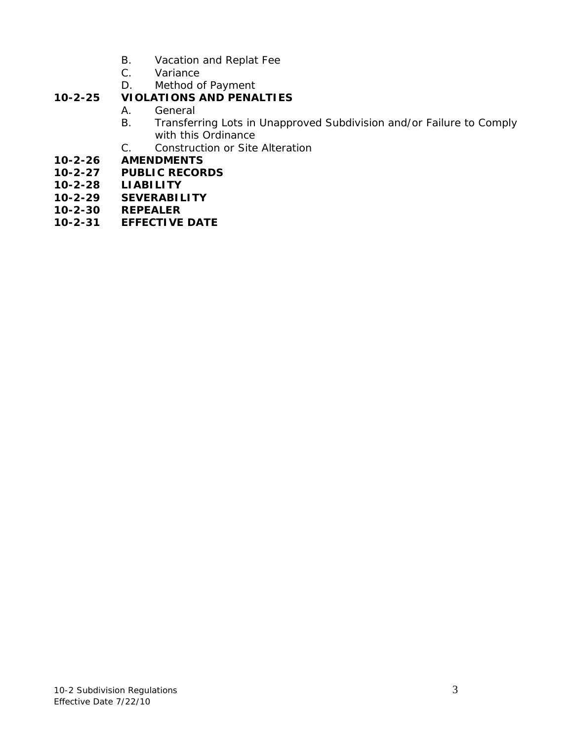- B. Vacation and Replat Fee
- C. Variance
- D. Method of Payment

# **10-2-25 VIOLATIONS AND PENALTIES**

- A. General<br>B. Transfer
- B. Transferring Lots in Unapproved Subdivision and/or Failure to Comply with this Ordinance
- C. Construction or Site Alteration
- **10-2-26 AMENDMENTS**
- **10-2-27 PUBLIC RECORDS**
- **10-2-28 LIABILITY**
- **10-2-29 SEVERABILITY**
- **10-2-30 REPEALER**
- **10-2-31 EFFECTIVE DATE**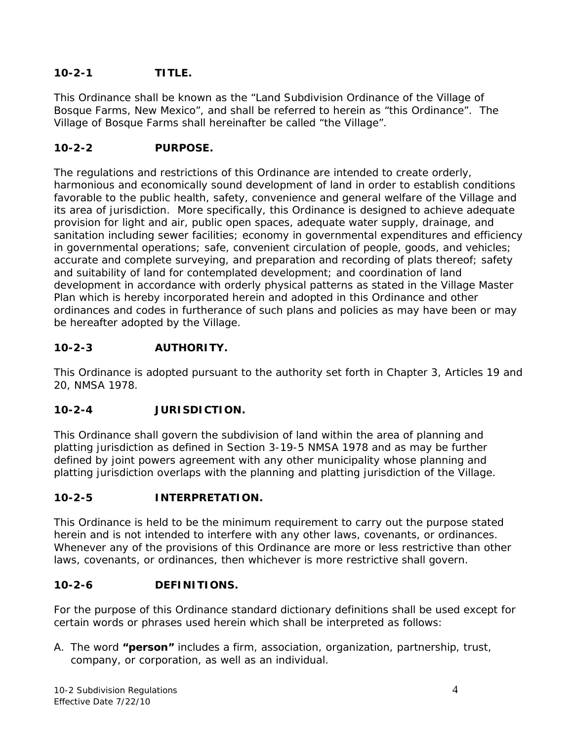## **10-2-1 TITLE.**

This Ordinance shall be known as the "Land Subdivision Ordinance of the Village of Bosque Farms, New Mexico", and shall be referred to herein as "this Ordinance". The Village of Bosque Farms shall hereinafter be called "the Village".

#### **10-2-2 PURPOSE.**

The regulations and restrictions of this Ordinance are intended to create orderly, harmonious and economically sound development of land in order to establish conditions favorable to the public health, safety, convenience and general welfare of the Village and its area of jurisdiction. More specifically, this Ordinance is designed to achieve adequate provision for light and air, public open spaces, adequate water supply, drainage, and sanitation including sewer facilities; economy in governmental expenditures and efficiency in governmental operations; safe, convenient circulation of people, goods, and vehicles; accurate and complete surveying, and preparation and recording of plats thereof; safety and suitability of land for contemplated development; and coordination of land development in accordance with orderly physical patterns as stated in the Village Master Plan which is hereby incorporated herein and adopted in this Ordinance and other ordinances and codes in furtherance of such plans and policies as may have been or may be hereafter adopted by the Village.

## **10-2-3 AUTHORITY.**

This Ordinance is adopted pursuant to the authority set forth in Chapter 3, Articles 19 and 20, NMSA 1978.

## **10-2-4 JURISDICTION.**

This Ordinance shall govern the subdivision of land within the area of planning and platting jurisdiction as defined in Section 3-19-5 NMSA 1978 and as may be further defined by joint powers agreement with any other municipality whose planning and platting jurisdiction overlaps with the planning and platting jurisdiction of the Village.

#### **10-2-5 INTERPRETATION.**

This Ordinance is held to be the minimum requirement to carry out the purpose stated herein and is not intended to interfere with any other laws, covenants, or ordinances. Whenever any of the provisions of this Ordinance are more or less restrictive than other laws, covenants, or ordinances, then whichever is more restrictive shall govern.

## **10-2-6 DEFINITIONS.**

For the purpose of this Ordinance standard dictionary definitions shall be used except for certain words or phrases used herein which shall be interpreted as follows:

A. The word **"person"** includes a firm, association, organization, partnership, trust, company, or corporation, as well as an individual.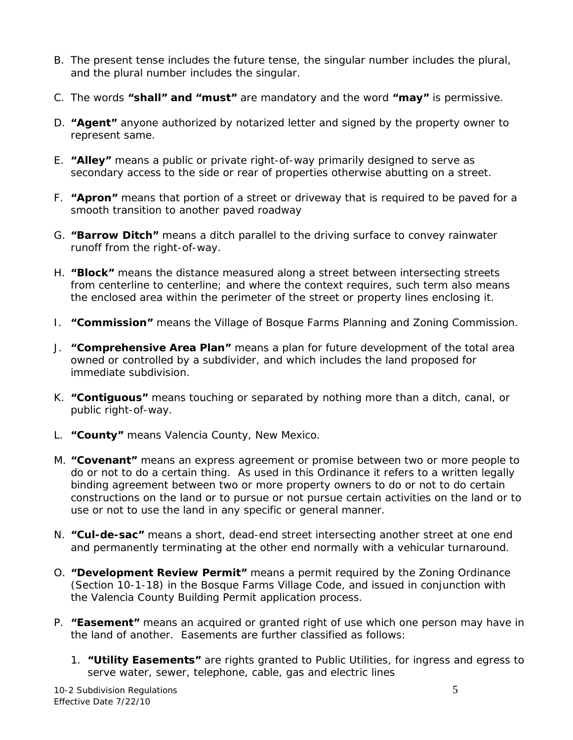- B. The present tense includes the future tense, the singular number includes the plural, and the plural number includes the singular.
- C. The words **"shall" and "must"** are mandatory and the word **"may"** is permissive.
- D. **"Agent"** anyone authorized by notarized letter and signed by the property owner to represent same.
- E. **"Alley"** means a public or private right-of-way primarily designed to serve as secondary access to the side or rear of properties otherwise abutting on a street.
- F. **"Apron"** means that portion of a street or driveway that is required to be paved for a smooth transition to another paved roadway
- G. **"Barrow Ditch"** means a ditch parallel to the driving surface to convey rainwater runoff from the right-of-way.
- H. **"Block"** means the distance measured along a street between intersecting streets from centerline to centerline; and where the context requires, such term also means the enclosed area within the perimeter of the street or property lines enclosing it.
- I. **"Commission"** means the Village of Bosque Farms Planning and Zoning Commission.
- J. **"Comprehensive Area Plan"** means a plan for future development of the total area owned or controlled by a subdivider, and which includes the land proposed for immediate subdivision.
- K. **"Contiguous"** means touching or separated by nothing more than a ditch, canal, or public right-of-way.
- L. **"County"** means Valencia County, New Mexico.
- M. **"Covenant"** means an express agreement or promise between two or more people to do or not to do a certain thing. As used in this Ordinance it refers to a written legally binding agreement between two or more property owners to do or not to do certain constructions on the land or to pursue or not pursue certain activities on the land or to use or not to use the land in any specific or general manner.
- N. **"Cul-de-sac"** means a short, dead-end street intersecting another street at one end and permanently terminating at the other end normally with a vehicular turnaround.
- O. **"Development Review Permit"** means a permit required by the Zoning Ordinance (Section 10-1-18) in the Bosque Farms Village Code, and issued in conjunction with the Valencia County Building Permit application process.
- P. **"Easement"** means an acquired or granted right of use which one person may have in the land of another. Easements are further classified as follows:
	- 1. **"Utility Easements"** are rights granted to Public Utilities, for ingress and egress to serve water, sewer, telephone, cable, gas and electric lines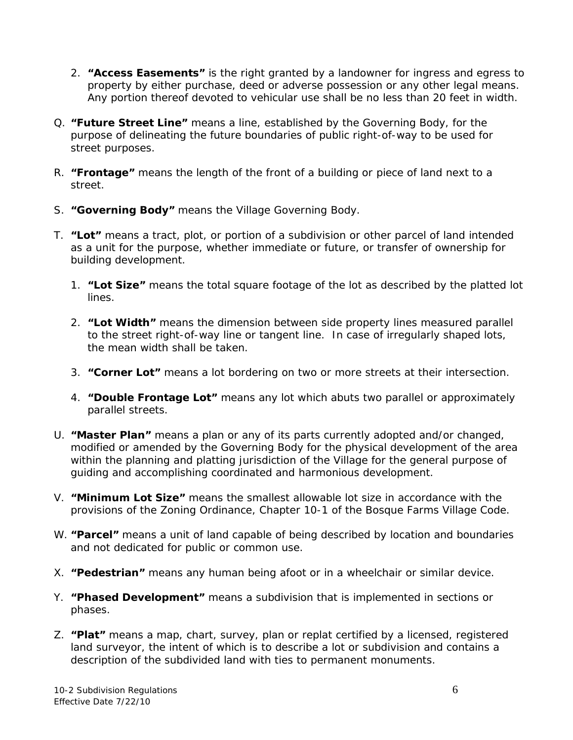- 2. **"Access Easements"** is the right granted by a landowner for ingress and egress to property by either purchase, deed or adverse possession or any other legal means. Any portion thereof devoted to vehicular use shall be no less than 20 feet in width.
- Q. **"Future Street Line"** means a line, established by the Governing Body, for the purpose of delineating the future boundaries of public right-of-way to be used for street purposes.
- R. **"Frontage"** means the length of the front of a building or piece of land next to a street.
- S. **"Governing Body"** means the Village Governing Body.
- T. **"Lot"** means a tract, plot, or portion of a subdivision or other parcel of land intended as a unit for the purpose, whether immediate or future, or transfer of ownership for building development.
	- 1. **"Lot Size"** means the total square footage of the lot as described by the platted lot lines.
	- 2. **"Lot Width"** means the dimension between side property lines measured parallel to the street right-of-way line or tangent line. In case of irregularly shaped lots, the mean width shall be taken.
	- 3. **"Corner Lot"** means a lot bordering on two or more streets at their intersection.
	- 4. **"Double Frontage Lot"** means any lot which abuts two parallel or approximately parallel streets.
- U. **"Master Plan"** means a plan or any of its parts currently adopted and/or changed, modified or amended by the Governing Body for the physical development of the area within the planning and platting jurisdiction of the Village for the general purpose of guiding and accomplishing coordinated and harmonious development.
- V. **"Minimum Lot Size"** means the smallest allowable lot size in accordance with the provisions of the Zoning Ordinance, Chapter 10-1 of the Bosque Farms Village Code.
- W. **"Parcel"** means a unit of land capable of being described by location and boundaries and not dedicated for public or common use.
- X. **"Pedestrian"** means any human being afoot or in a wheelchair or similar device.
- Y. **"Phased Development"** means a subdivision that is implemented in sections or phases.
- Z. **"Plat"** means a map, chart, survey, plan or replat certified by a licensed, registered land surveyor, the intent of which is to describe a lot or subdivision and contains a description of the subdivided land with ties to permanent monuments.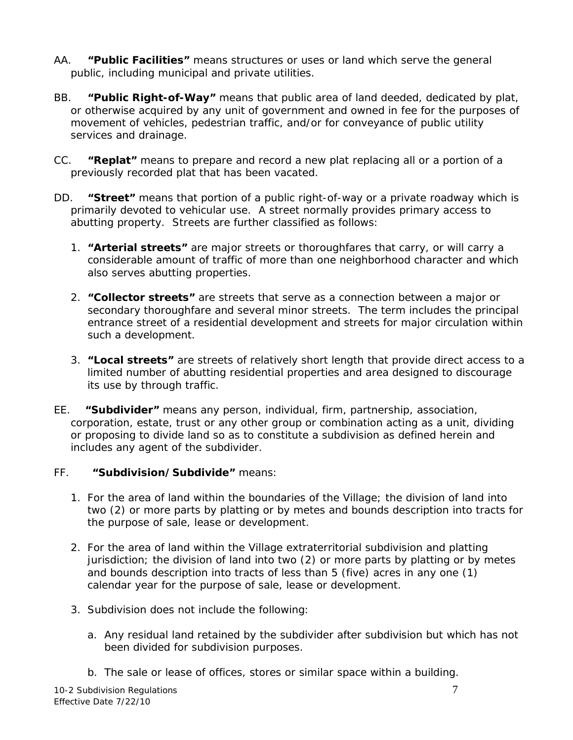- AA. **"Public Facilities"** means structures or uses or land which serve the general public, including municipal and private utilities.
- BB. **"Public Right-of-Way"** means that public area of land deeded, dedicated by plat, or otherwise acquired by any unit of government and owned in fee for the purposes of movement of vehicles, pedestrian traffic, and/or for conveyance of public utility services and drainage.
- CC. **"Replat"** means to prepare and record a new plat replacing all or a portion of a previously recorded plat that has been vacated.
- DD. **"Street"** means that portion of a public right-of-way or a private roadway which is primarily devoted to vehicular use. A street normally provides primary access to abutting property. Streets are further classified as follows:
	- 1. **"Arterial streets"** are major streets or thoroughfares that carry, or will carry a considerable amount of traffic of more than one neighborhood character and which also serves abutting properties.
	- 2. **"Collector streets"** are streets that serve as a connection between a major or secondary thoroughfare and several minor streets. The term includes the principal entrance street of a residential development and streets for major circulation within such a development.
	- 3. **"Local streets"** are streets of relatively short length that provide direct access to a limited number of abutting residential properties and area designed to discourage its use by through traffic.
- EE. **"Subdivider"** means any person, individual, firm, partnership, association, corporation, estate, trust or any other group or combination acting as a unit, dividing or proposing to divide land so as to constitute a subdivision as defined herein and includes any agent of the subdivider.

#### FF. **"Subdivision/Subdivide"** means:

- 1. For the area of land within the boundaries of the Village; the division of land into two (2) or more parts by platting or by metes and bounds description into tracts for the purpose of sale, lease or development.
- 2. For the area of land within the Village extraterritorial subdivision and platting jurisdiction; the division of land into two (2) or more parts by platting or by metes and bounds description into tracts of less than 5 (five) acres in any one (1) calendar year for the purpose of sale, lease or development.
- 3. Subdivision does not include the following:
	- a. Any residual land retained by the subdivider after subdivision but which has not been divided for subdivision purposes.
	- b. The sale or lease of offices, stores or similar space within a building.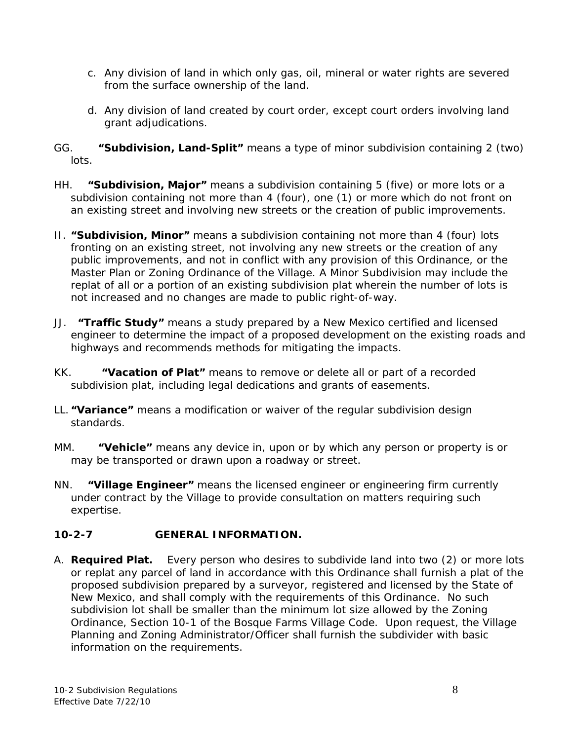- c. Any division of land in which only gas, oil, mineral or water rights are severed from the surface ownership of the land.
- d. Any division of land created by court order, except court orders involving land grant adjudications.
- GG. **"Subdivision, Land-Split"** means a type of minor subdivision containing 2 (two) lots.
- HH. **"Subdivision, Major"** means a subdivision containing 5 (five) or more lots or a subdivision containing not more than 4 (four), one (1) or more which do not front on an existing street and involving new streets or the creation of public improvements.
- II. **"Subdivision, Minor"** means a subdivision containing not more than 4 (four) lots fronting on an existing street, not involving any new streets or the creation of any public improvements, and not in conflict with any provision of this Ordinance, or the Master Plan or Zoning Ordinance of the Village. A Minor Subdivision may include the replat of all or a portion of an existing subdivision plat wherein the number of lots is not increased and no changes are made to public right-of-way.
- JJ. **"Traffic Study"** means a study prepared by a New Mexico certified and licensed engineer to determine the impact of a proposed development on the existing roads and highways and recommends methods for mitigating the impacts.
- KK. **"Vacation of Plat"** means to remove or delete all or part of a recorded subdivision plat, including legal dedications and grants of easements.
- LL. **"Variance"** means a modification or waiver of the regular subdivision design standards.
- MM. **"Vehicle"** means any device in, upon or by which any person or property is or may be transported or drawn upon a roadway or street.
- NN. **"Village Engineer"** means the licensed engineer or engineering firm currently under contract by the Village to provide consultation on matters requiring such expertise.

## **10-2-7 GENERAL INFORMATION.**

A. **Required Plat.** Every person who desires to subdivide land into two (2) or more lots or replat any parcel of land in accordance with this Ordinance shall furnish a plat of the proposed subdivision prepared by a surveyor, registered and licensed by the State of New Mexico, and shall comply with the requirements of this Ordinance. No such subdivision lot shall be smaller than the minimum lot size allowed by the Zoning Ordinance, Section 10-1 of the Bosque Farms Village Code. Upon request, the Village Planning and Zoning Administrator/Officer shall furnish the subdivider with basic information on the requirements.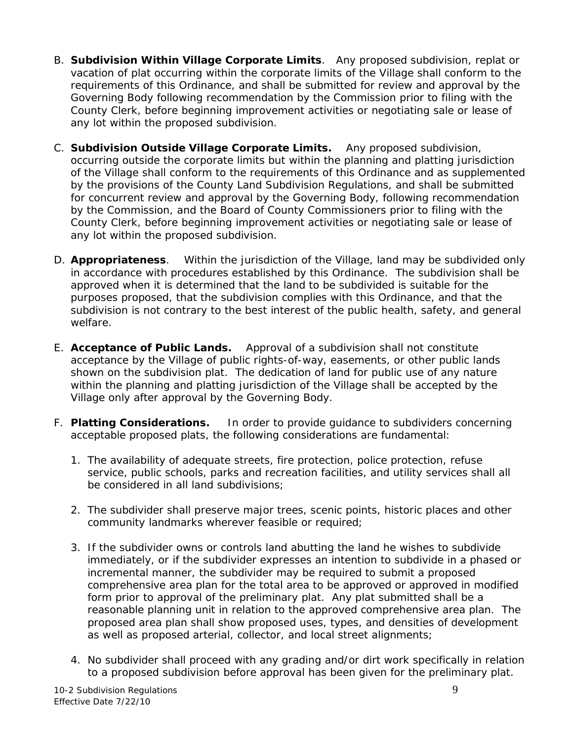- B. **Subdivision Within Village Corporate Limits**. Any proposed subdivision, replat or vacation of plat occurring within the corporate limits of the Village shall conform to the requirements of this Ordinance, and shall be submitted for review and approval by the Governing Body following recommendation by the Commission prior to filing with the County Clerk, before beginning improvement activities or negotiating sale or lease of any lot within the proposed subdivision.
- C. **Subdivision Outside Village Corporate Limits.** Any proposed subdivision, occurring outside the corporate limits but within the planning and platting jurisdiction of the Village shall conform to the requirements of this Ordinance and as supplemented by the provisions of the County Land Subdivision Regulations, and shall be submitted for concurrent review and approval by the Governing Body, following recommendation by the Commission, and the Board of County Commissioners prior to filing with the County Clerk, before beginning improvement activities or negotiating sale or lease of any lot within the proposed subdivision.
- D. **Appropriateness**. Within the jurisdiction of the Village, land may be subdivided only in accordance with procedures established by this Ordinance. The subdivision shall be approved when it is determined that the land to be subdivided is suitable for the purposes proposed, that the subdivision complies with this Ordinance, and that the subdivision is not contrary to the best interest of the public health, safety, and general welfare.
- E. **Acceptance of Public Lands.** Approval of a subdivision shall not constitute acceptance by the Village of public rights-of-way, easements, or other public lands shown on the subdivision plat. The dedication of land for public use of any nature within the planning and platting jurisdiction of the Village shall be accepted by the Village only after approval by the Governing Body.
- F. **Platting Considerations.** In order to provide guidance to subdividers concerning acceptable proposed plats, the following considerations are fundamental:
	- 1. The availability of adequate streets, fire protection, police protection, refuse service, public schools, parks and recreation facilities, and utility services shall all be considered in all land subdivisions;
	- 2. The subdivider shall preserve major trees, scenic points, historic places and other community landmarks wherever feasible or required;
	- 3. If the subdivider owns or controls land abutting the land he wishes to subdivide immediately, or if the subdivider expresses an intention to subdivide in a phased or incremental manner, the subdivider may be required to submit a proposed comprehensive area plan for the total area to be approved or approved in modified form prior to approval of the preliminary plat. Any plat submitted shall be a reasonable planning unit in relation to the approved comprehensive area plan. The proposed area plan shall show proposed uses, types, and densities of development as well as proposed arterial, collector, and local street alignments;
	- 4. No subdivider shall proceed with any grading and/or dirt work specifically in relation to a proposed subdivision before approval has been given for the preliminary plat.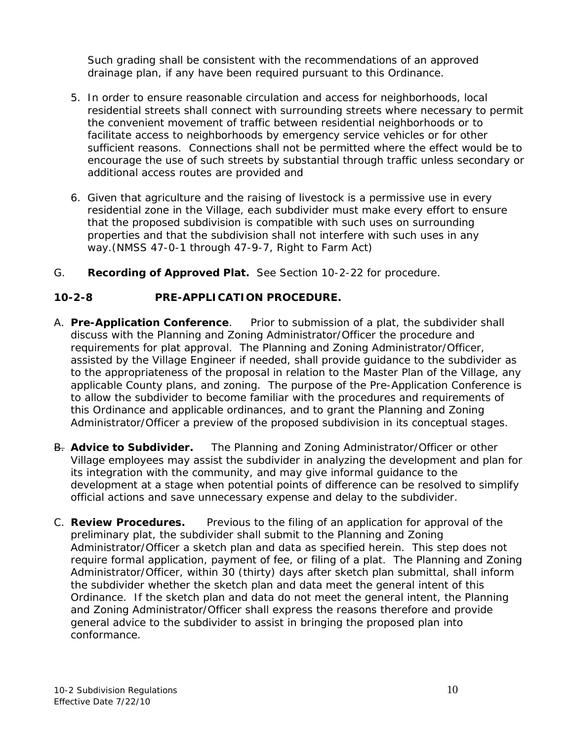Such grading shall be consistent with the recommendations of an approved drainage plan, if any have been required pursuant to this Ordinance.

- 5. In order to ensure reasonable circulation and access for neighborhoods, local residential streets shall connect with surrounding streets where necessary to permit the convenient movement of traffic between residential neighborhoods or to facilitate access to neighborhoods by emergency service vehicles or for other sufficient reasons. Connections shall not be permitted where the effect would be to encourage the use of such streets by substantial through traffic unless secondary or additional access routes are provided and
- 6. Given that agriculture and the raising of livestock is a permissive use in every residential zone in the Village, each subdivider must make every effort to ensure that the proposed subdivision is compatible with such uses on surrounding properties and that the subdivision shall not interfere with such uses in any way.(NMSS 47-0-1 through 47-9-7, Right to Farm Act)
- G. **Recording of Approved Plat.** See Section 10-2-22 for procedure.

#### **10-2-8 PRE-APPLICATION PROCEDURE.**

- A. **Pre-Application Conference**. Prior to submission of a plat, the subdivider shall discuss with the Planning and Zoning Administrator/Officer the procedure and requirements for plat approval. The Planning and Zoning Administrator/Officer, assisted by the Village Engineer if needed, shall provide guidance to the subdivider as to the appropriateness of the proposal in relation to the Master Plan of the Village, any applicable County plans, and zoning. The purpose of the Pre-Application Conference is to allow the subdivider to become familiar with the procedures and requirements of this Ordinance and applicable ordinances, and to grant the Planning and Zoning Administrator/Officer a preview of the proposed subdivision in its conceptual stages.
- B. **Advice to Subdivider.** The Planning and Zoning Administrator/Officer or other Village employees may assist the subdivider in analyzing the development and plan for its integration with the community, and may give informal guidance to the development at a stage when potential points of difference can be resolved to simplify official actions and save unnecessary expense and delay to the subdivider.
- C. **Review Procedures.** Previous to the filing of an application for approval of the preliminary plat, the subdivider shall submit to the Planning and Zoning Administrator/Officer a sketch plan and data as specified herein. This step does not require formal application, payment of fee, or filing of a plat. The Planning and Zoning Administrator/Officer, within 30 (thirty) days after sketch plan submittal, shall inform the subdivider whether the sketch plan and data meet the general intent of this Ordinance. If the sketch plan and data do not meet the general intent, the Planning and Zoning Administrator/Officer shall express the reasons therefore and provide general advice to the subdivider to assist in bringing the proposed plan into conformance.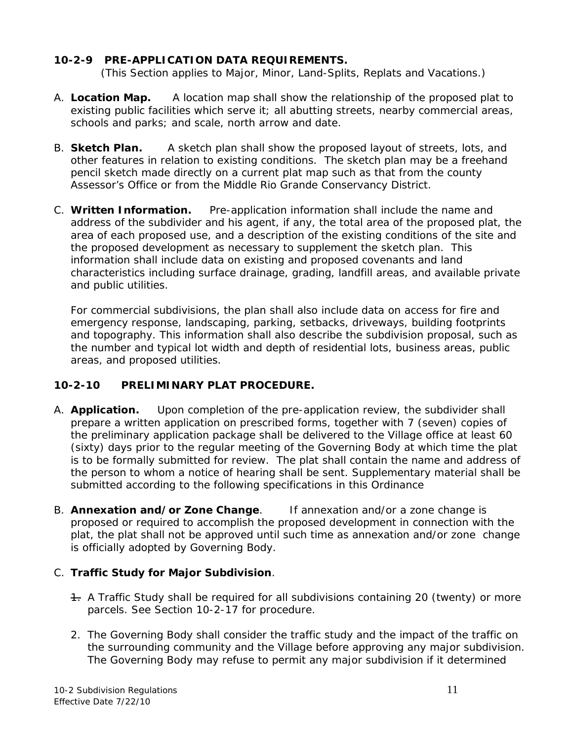#### **10-2-9 PRE-APPLICATION DATA REQUIREMENTS.**

(This Section applies to Major, Minor, Land-Splits, Replats and Vacations.)

- A. **Location Map.** A location map shall show the relationship of the proposed plat to existing public facilities which serve it; all abutting streets, nearby commercial areas, schools and parks; and scale, north arrow and date.
- B. **Sketch Plan.** A sketch plan shall show the proposed layout of streets, lots, and other features in relation to existing conditions. The sketch plan may be a freehand pencil sketch made directly on a current plat map such as that from the county Assessor's Office or from the Middle Rio Grande Conservancy District.
- C. **Written Information.** Pre-application information shall include the name and address of the subdivider and his agent, if any, the total area of the proposed plat, the area of each proposed use, and a description of the existing conditions of the site and the proposed development as necessary to supplement the sketch plan. This information shall include data on existing and proposed covenants and land characteristics including surface drainage, grading, landfill areas, and available private and public utilities.

For commercial subdivisions, the plan shall also include data on access for fire and emergency response, landscaping, parking, setbacks, driveways, building footprints and topography. This information shall also describe the subdivision proposal, such as the number and typical lot width and depth of residential lots, business areas, public areas, and proposed utilities.

## **10-2-10 PRELIMINARY PLAT PROCEDURE.**

- A. **Application.** Upon completion of the pre-application review, the subdivider shall prepare a written application on prescribed forms, together with 7 (seven) copies of the preliminary application package shall be delivered to the Village office at least 60 (sixty) days prior to the regular meeting of the Governing Body at which time the plat is to be formally submitted for review. The plat shall contain the name and address of the person to whom a notice of hearing shall be sent. Supplementary material shall be submitted according to the following specifications in this Ordinance
- B. **Annexation and/or Zone Change**. If annexation and/or a zone change is proposed or required to accomplish the proposed development in connection with the plat, the plat shall not be approved until such time as annexation and/or zone change is officially adopted by Governing Body.

## C. **Traffic Study for Major Subdivision**.

- 1. A Traffic Study shall be required for all subdivisions containing 20 (twenty) or more parcels. See Section 10-2-17 for procedure.
- 2. The Governing Body shall consider the traffic study and the impact of the traffic on the surrounding community and the Village before approving any major subdivision. The Governing Body may refuse to permit any major subdivision if it determined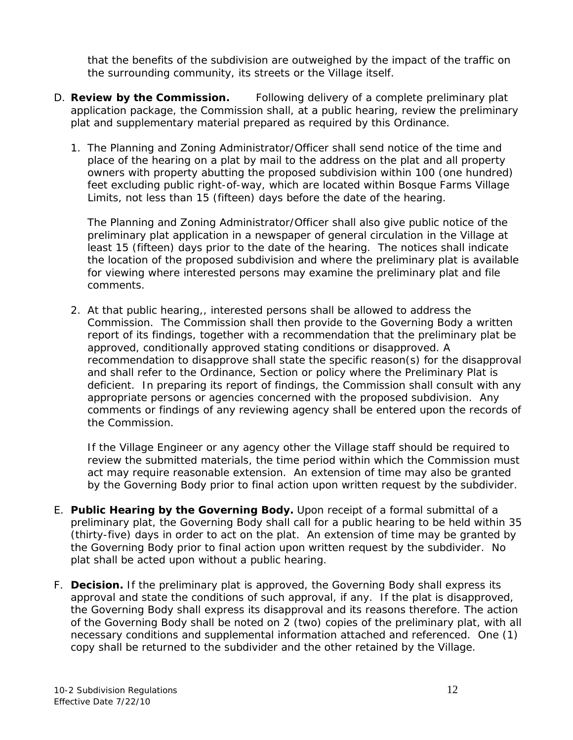that the benefits of the subdivision are outweighed by the impact of the traffic on the surrounding community, its streets or the Village itself.

- D. **Review by the Commission.** Following delivery of a complete preliminary plat application package, the Commission shall, at a public hearing, review the preliminary plat and supplementary material prepared as required by this Ordinance.
	- 1. The Planning and Zoning Administrator/Officer shall send notice of the time and place of the hearing on a plat by mail to the address on the plat and all property owners with property abutting the proposed subdivision within 100 (one hundred) feet excluding public right-of-way, which are located within Bosque Farms Village Limits, not less than 15 (fifteen) days before the date of the hearing.

The Planning and Zoning Administrator/Officer shall also give public notice of the preliminary plat application in a newspaper of general circulation in the Village at least 15 (fifteen) days prior to the date of the hearing. The notices shall indicate the location of the proposed subdivision and where the preliminary plat is available for viewing where interested persons may examine the preliminary plat and file comments.

2. At that public hearing,, interested persons shall be allowed to address the Commission. The Commission shall then provide to the Governing Body a written report of its findings, together with a recommendation that the preliminary plat be approved, conditionally approved stating conditions or disapproved. A recommendation to disapprove shall state the specific reason(s) for the disapproval and shall refer to the Ordinance, Section or policy where the Preliminary Plat is deficient. In preparing its report of findings, the Commission shall consult with any appropriate persons or agencies concerned with the proposed subdivision. Any comments or findings of any reviewing agency shall be entered upon the records of the Commission.

If the Village Engineer or any agency other the Village staff should be required to review the submitted materials, the time period within which the Commission must act may require reasonable extension. An extension of time may also be granted by the Governing Body prior to final action upon written request by the subdivider.

- E. **Public Hearing by the Governing Body.** Upon receipt of a formal submittal of a preliminary plat, the Governing Body shall call for a public hearing to be held within 35 (thirty-five) days in order to act on the plat. An extension of time may be granted by the Governing Body prior to final action upon written request by the subdivider. No plat shall be acted upon without a public hearing.
- F. **Decision.** If the preliminary plat is approved, the Governing Body shall express its approval and state the conditions of such approval, if any. If the plat is disapproved, the Governing Body shall express its disapproval and its reasons therefore. The action of the Governing Body shall be noted on 2 (two) copies of the preliminary plat, with all necessary conditions and supplemental information attached and referenced. One (1) copy shall be returned to the subdivider and the other retained by the Village.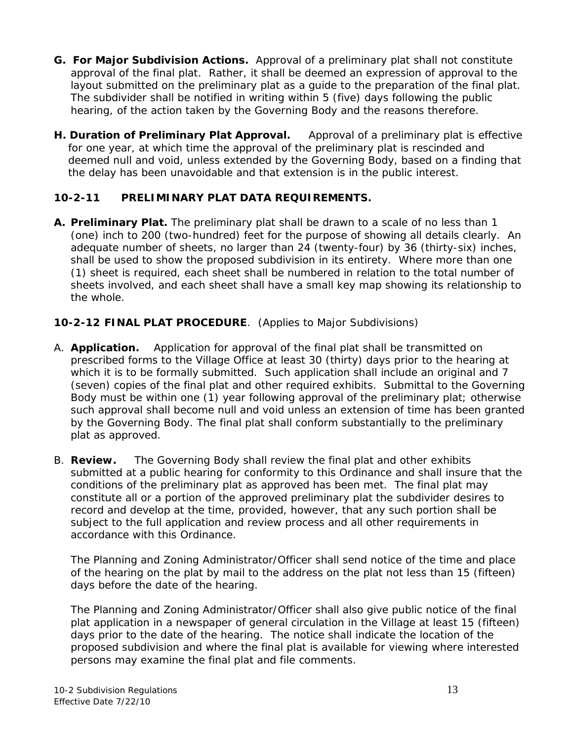- **G. For Major Subdivision Actions.** Approval of a preliminary plat shall not constitute approval of the final plat. Rather, it shall be deemed an expression of approval to the layout submitted on the preliminary plat as a guide to the preparation of the final plat. The subdivider shall be notified in writing within 5 (five) days following the public hearing, of the action taken by the Governing Body and the reasons therefore.
- **H. Duration of Preliminary Plat Approval.** Approval of a preliminary plat is effective for one year, at which time the approval of the preliminary plat is rescinded and deemed null and void, unless extended by the Governing Body, based on a finding that the delay has been unavoidable and that extension is in the public interest.

## **10-2-11 PRELIMINARY PLAT DATA REQUIREMENTS.**

**A. Preliminary Plat.** The preliminary plat shall be drawn to a scale of no less than 1 (one) inch to 200 (two-hundred) feet for the purpose of showing all details clearly. An adequate number of sheets, no larger than 24 (twenty-four) by 36 (thirty-six) inches, shall be used to show the proposed subdivision in its entirety. Where more than one (1) sheet is required, each sheet shall be numbered in relation to the total number of sheets involved, and each sheet shall have a small key map showing its relationship to the whole.

## **10-2-12 FINAL PLAT PROCEDURE**. (Applies to Major Subdivisions)

- A. **Application.** Application for approval of the final plat shall be transmitted on prescribed forms to the Village Office at least 30 (thirty) days prior to the hearing at which it is to be formally submitted. Such application shall include an original and 7 (seven) copies of the final plat and other required exhibits. Submittal to the Governing Body must be within one (1) year following approval of the preliminary plat; otherwise such approval shall become null and void unless an extension of time has been granted by the Governing Body. The final plat shall conform substantially to the preliminary plat as approved.
- B. **Review.** The Governing Body shall review the final plat and other exhibits submitted at a public hearing for conformity to this Ordinance and shall insure that the conditions of the preliminary plat as approved has been met. The final plat may constitute all or a portion of the approved preliminary plat the subdivider desires to record and develop at the time, provided, however, that any such portion shall be subject to the full application and review process and all other requirements in accordance with this Ordinance.

The Planning and Zoning Administrator/Officer shall send notice of the time and place of the hearing on the plat by mail to the address on the plat not less than 15 (fifteen) days before the date of the hearing.

The Planning and Zoning Administrator/Officer shall also give public notice of the final plat application in a newspaper of general circulation in the Village at least 15 (fifteen) days prior to the date of the hearing. The notice shall indicate the location of the proposed subdivision and where the final plat is available for viewing where interested persons may examine the final plat and file comments.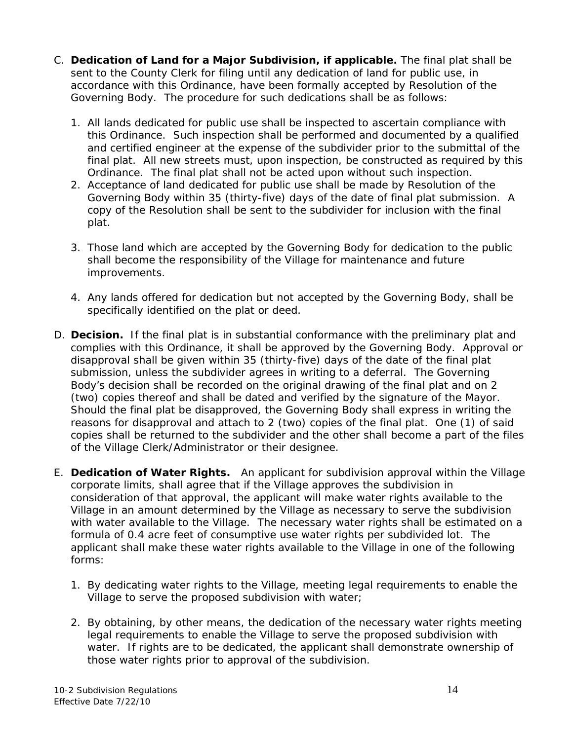- C. **Dedication of Land for a Major Subdivision, if applicable.** The final plat shall be sent to the County Clerk for filing until any dedication of land for public use, in accordance with this Ordinance, have been formally accepted by Resolution of the Governing Body. The procedure for such dedications shall be as follows:
	- 1. All lands dedicated for public use shall be inspected to ascertain compliance with this Ordinance. Such inspection shall be performed and documented by a qualified and certified engineer at the expense of the subdivider prior to the submittal of the final plat. All new streets must, upon inspection, be constructed as required by this Ordinance. The final plat shall not be acted upon without such inspection.
	- 2. Acceptance of land dedicated for public use shall be made by Resolution of the Governing Body within 35 (thirty-five) days of the date of final plat submission. A copy of the Resolution shall be sent to the subdivider for inclusion with the final plat.
	- 3. Those land which are accepted by the Governing Body for dedication to the public shall become the responsibility of the Village for maintenance and future improvements.
	- 4. Any lands offered for dedication but not accepted by the Governing Body, shall be specifically identified on the plat or deed.
- D. **Decision.** If the final plat is in substantial conformance with the preliminary plat and complies with this Ordinance, it shall be approved by the Governing Body. Approval or disapproval shall be given within 35 (thirty-five) days of the date of the final plat submission, unless the subdivider agrees in writing to a deferral. The Governing Body's decision shall be recorded on the original drawing of the final plat and on 2 (two) copies thereof and shall be dated and verified by the signature of the Mayor. Should the final plat be disapproved, the Governing Body shall express in writing the reasons for disapproval and attach to 2 (two) copies of the final plat. One (1) of said copies shall be returned to the subdivider and the other shall become a part of the files of the Village Clerk/Administrator or their designee.
- E. **Dedication of Water Rights.** An applicant for subdivision approval within the Village corporate limits, shall agree that if the Village approves the subdivision in consideration of that approval, the applicant will make water rights available to the Village in an amount determined by the Village as necessary to serve the subdivision with water available to the Village. The necessary water rights shall be estimated on a formula of 0.4 acre feet of consumptive use water rights per subdivided lot. The applicant shall make these water rights available to the Village in one of the following forms:
	- 1. By dedicating water rights to the Village, meeting legal requirements to enable the Village to serve the proposed subdivision with water;
	- 2. By obtaining, by other means, the dedication of the necessary water rights meeting legal requirements to enable the Village to serve the proposed subdivision with water. If rights are to be dedicated, the applicant shall demonstrate ownership of those water rights prior to approval of the subdivision.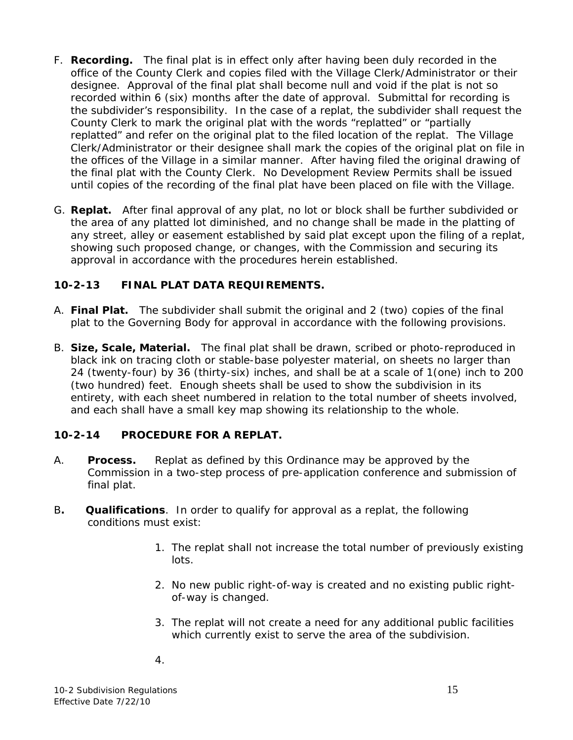- F. **Recording.** The final plat is in effect only after having been duly recorded in the office of the County Clerk and copies filed with the Village Clerk/Administrator or their designee. Approval of the final plat shall become null and void if the plat is not so recorded within 6 (six) months after the date of approval. Submittal for recording is the subdivider's responsibility. In the case of a replat, the subdivider shall request the County Clerk to mark the original plat with the words "replatted" or "partially replatted" and refer on the original plat to the filed location of the replat. The Village Clerk/Administrator or their designee shall mark the copies of the original plat on file in the offices of the Village in a similar manner. After having filed the original drawing of the final plat with the County Clerk. No Development Review Permits shall be issued until copies of the recording of the final plat have been placed on file with the Village.
- G. **Replat.** After final approval of any plat, no lot or block shall be further subdivided or the area of any platted lot diminished, and no change shall be made in the platting of any street, alley or easement established by said plat except upon the filing of a replat, showing such proposed change, or changes, with the Commission and securing its approval in accordance with the procedures herein established.

## **10-2-13 FINAL PLAT DATA REQUIREMENTS.**

- A. **Final Plat.** The subdivider shall submit the original and 2 (two) copies of the final plat to the Governing Body for approval in accordance with the following provisions.
- B. **Size, Scale, Material.** The final plat shall be drawn, scribed or photo-reproduced in black ink on tracing cloth or stable-base polyester material, on sheets no larger than 24 (twenty-four) by 36 (thirty-six) inches, and shall be at a scale of 1(one) inch to 200 (two hundred) feet. Enough sheets shall be used to show the subdivision in its entirety, with each sheet numbered in relation to the total number of sheets involved, and each shall have a small key map showing its relationship to the whole.

#### **10-2-14 PROCEDURE FOR A REPLAT.**

- A. **Process.** Replat as defined by this Ordinance may be approved by the Commission in a two-step process of pre-application conference and submission of final plat.
- B**. Qualifications**. In order to qualify for approval as a replat, the following conditions must exist:
	- 1. The replat shall not increase the total number of previously existing lots.
	- 2. No new public right-of-way is created and no existing public rightof-way is changed.
	- 3. The replat will not create a need for any additional public facilities which currently exist to serve the area of the subdivision.
	- 4.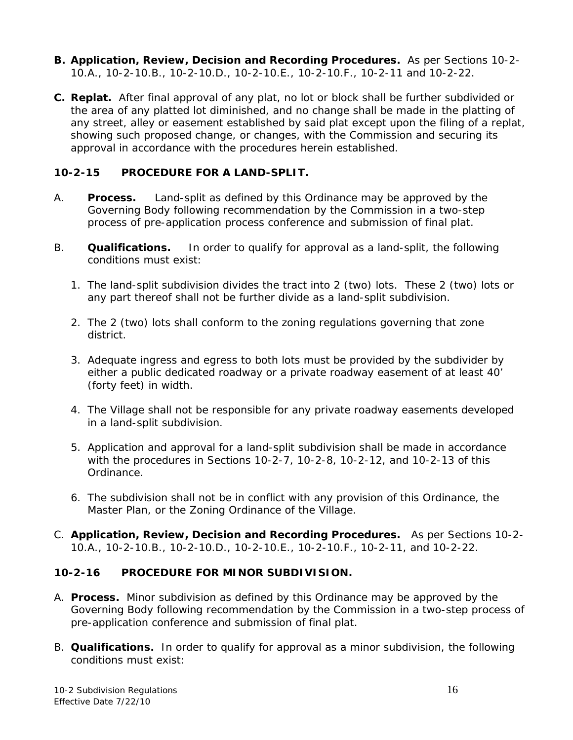- **B. Application, Review, Decision and Recording Procedures.** As per Sections 10-2- 10.A., 10-2-10.B., 10-2-10.D., 10-2-10.E., 10-2-10.F., 10-2-11 and 10-2-22.
- **C. Replat.** After final approval of any plat, no lot or block shall be further subdivided or the area of any platted lot diminished, and no change shall be made in the platting of any street, alley or easement established by said plat except upon the filing of a replat, showing such proposed change, or changes, with the Commission and securing its approval in accordance with the procedures herein established.

#### **10-2-15 PROCEDURE FOR A LAND-SPLIT.**

- A. **Process.** Land-split as defined by this Ordinance may be approved by the Governing Body following recommendation by the Commission in a two-step process of pre-application process conference and submission of final plat.
- B. **Qualifications.** In order to qualify for approval as a land-split, the following conditions must exist:
	- 1. The land-split subdivision divides the tract into 2 (two) lots. These 2 (two) lots or any part thereof shall not be further divide as a land-split subdivision.
	- 2. The 2 (two) lots shall conform to the zoning regulations governing that zone district.
	- 3. Adequate ingress and egress to both lots must be provided by the subdivider by either a public dedicated roadway or a private roadway easement of at least 40' (forty feet) in width.
	- 4. The Village shall not be responsible for any private roadway easements developed in a land-split subdivision.
	- 5. Application and approval for a land-split subdivision shall be made in accordance with the procedures in Sections 10-2-7, 10-2-8, 10-2-12, and 10-2-13 of this Ordinance.
	- 6. The subdivision shall not be in conflict with any provision of this Ordinance, the Master Plan, or the Zoning Ordinance of the Village.
- C. **Application, Review, Decision and Recording Procedures.** As per Sections 10-2- 10.A., 10-2-10.B., 10-2-10.D., 10-2-10.E., 10-2-10.F., 10-2-11, and 10-2-22.

## **10-2-16 PROCEDURE FOR MINOR SUBDIVISION.**

- A. **Process.** Minor subdivision as defined by this Ordinance may be approved by the Governing Body following recommendation by the Commission in a two-step process of pre-application conference and submission of final plat.
- B. **Qualifications.** In order to qualify for approval as a minor subdivision, the following conditions must exist: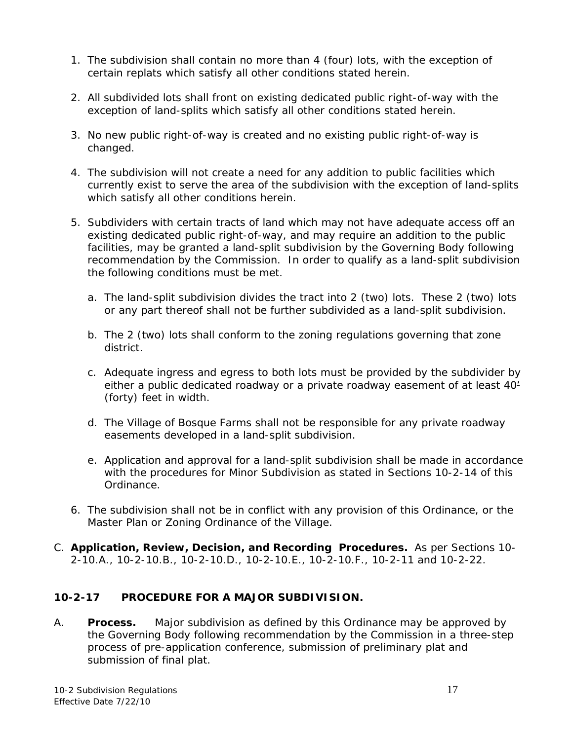- 1. The subdivision shall contain no more than 4 (four) lots, with the exception of certain replats which satisfy all other conditions stated herein.
- 2. All subdivided lots shall front on existing dedicated public right-of-way with the exception of land-splits which satisfy all other conditions stated herein.
- 3. No new public right-of-way is created and no existing public right-of-way is changed.
- 4. The subdivision will not create a need for any addition to public facilities which currently exist to serve the area of the subdivision with the exception of land-splits which satisfy all other conditions herein.
- 5. Subdividers with certain tracts of land which may not have adequate access off an existing dedicated public right-of-way, and may require an addition to the public facilities, may be granted a land-split subdivision by the Governing Body following recommendation by the Commission. In order to qualify as a land-split subdivision the following conditions must be met.
	- a. The land-split subdivision divides the tract into 2 (two) lots. These 2 (two) lots or any part thereof shall not be further subdivided as a land-split subdivision.
	- b. The 2 (two) lots shall conform to the zoning regulations governing that zone district.
	- c. Adequate ingress and egress to both lots must be provided by the subdivider by either a public dedicated roadway or a private roadway easement of at least 40' (forty) feet in width.
	- d. The Village of Bosque Farms shall not be responsible for any private roadway easements developed in a land-split subdivision.
	- e. Application and approval for a land-split subdivision shall be made in accordance with the procedures for Minor Subdivision as stated in Sections 10-2-14 of this Ordinance.
- 6. The subdivision shall not be in conflict with any provision of this Ordinance, or the Master Plan or Zoning Ordinance of the Village.
- C. **Application, Review, Decision, and Recording Procedures.** As per Sections 10- 2-10.A., 10-2-10.B., 10-2-10.D., 10-2-10.E., 10-2-10.F., 10-2-11 and 10-2-22.

## **10-2-17 PROCEDURE FOR A MAJOR SUBDIVISION.**

A. **Process.** Major subdivision as defined by this Ordinance may be approved by the Governing Body following recommendation by the Commission in a three-step process of pre-application conference, submission of preliminary plat and submission of final plat.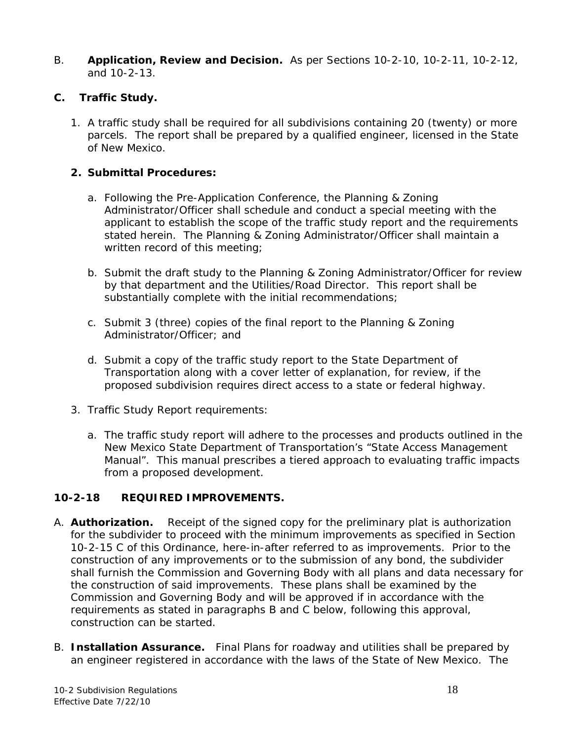B. **Application, Review and Decision.** As per Sections 10-2-10, 10-2-11, 10-2-12, and 10-2-13.

#### **C. Traffic Study.**

1. A traffic study shall be required for all subdivisions containing 20 (twenty) or more parcels. The report shall be prepared by a qualified engineer, licensed in the State of New Mexico.

#### **2. Submittal Procedures:**

- a. Following the Pre-Application Conference, the Planning & Zoning Administrator/Officer shall schedule and conduct a special meeting with the applicant to establish the scope of the traffic study report and the requirements stated herein. The Planning & Zoning Administrator/Officer shall maintain a written record of this meeting;
- b. Submit the draft study to the Planning & Zoning Administrator/Officer for review by that department and the Utilities/Road Director. This report shall be substantially complete with the initial recommendations;
- c. Submit 3 (three) copies of the final report to the Planning & Zoning Administrator/Officer; and
- d. Submit a copy of the traffic study report to the State Department of Transportation along with a cover letter of explanation, for review, if the proposed subdivision requires direct access to a state or federal highway.
- 3. Traffic Study Report requirements:
	- a. The traffic study report will adhere to the processes and products outlined in the New Mexico State Department of Transportation's "State Access Management Manual". This manual prescribes a tiered approach to evaluating traffic impacts from a proposed development.

## **10-2-18 REQUIRED IMPROVEMENTS.**

- A. **Authorization.** Receipt of the signed copy for the preliminary plat is authorization for the subdivider to proceed with the minimum improvements as specified in Section 10-2-15 C of this Ordinance, here-in-after referred to as improvements. Prior to the construction of any improvements or to the submission of any bond, the subdivider shall furnish the Commission and Governing Body with all plans and data necessary for the construction of said improvements. These plans shall be examined by the Commission and Governing Body and will be approved if in accordance with the requirements as stated in paragraphs B and C below, following this approval, construction can be started.
- B. **Installation Assurance.** Final Plans for roadway and utilities shall be prepared by an engineer registered in accordance with the laws of the State of New Mexico. The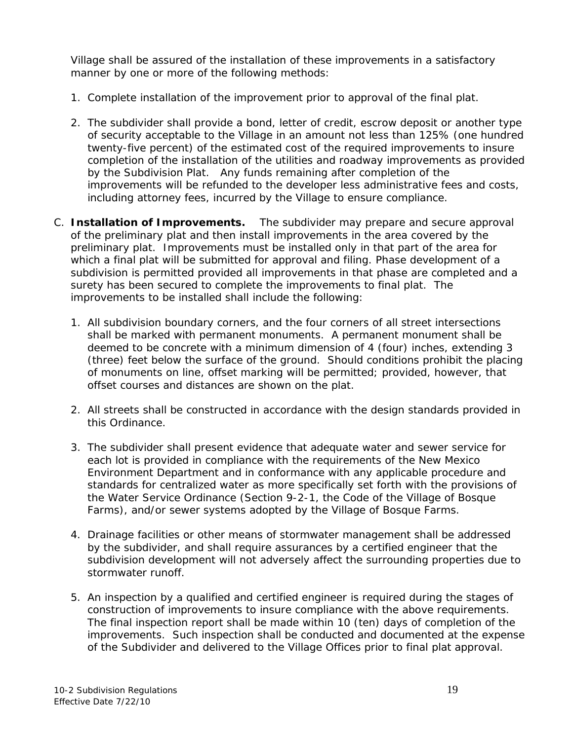Village shall be assured of the installation of these improvements in a satisfactory manner by one or more of the following methods:

- 1. Complete installation of the improvement prior to approval of the final plat.
- 2. The subdivider shall provide a bond, letter of credit, escrow deposit or another type of security acceptable to the Village in an amount not less than 125% (one hundred twenty-five percent) of the estimated cost of the required improvements to insure completion of the installation of the utilities and roadway improvements as provided by the Subdivision Plat. Any funds remaining after completion of the improvements will be refunded to the developer less administrative fees and costs, including attorney fees, incurred by the Village to ensure compliance.
- C. **Installation of Improvements.** The subdivider may prepare and secure approval of the preliminary plat and then install improvements in the area covered by the preliminary plat. Improvements must be installed only in that part of the area for which a final plat will be submitted for approval and filing. Phase development of a subdivision is permitted provided all improvements in that phase are completed and a surety has been secured to complete the improvements to final plat. The improvements to be installed shall include the following:
	- 1. All subdivision boundary corners, and the four corners of all street intersections shall be marked with permanent monuments. A permanent monument shall be deemed to be concrete with a minimum dimension of 4 (four) inches, extending 3 (three) feet below the surface of the ground. Should conditions prohibit the placing of monuments on line, offset marking will be permitted; provided, however, that offset courses and distances are shown on the plat.
	- 2. All streets shall be constructed in accordance with the design standards provided in this Ordinance.
	- 3. The subdivider shall present evidence that adequate water and sewer service for each lot is provided in compliance with the requirements of the New Mexico Environment Department and in conformance with any applicable procedure and standards for centralized water as more specifically set forth with the provisions of the Water Service Ordinance (Section 9-2-1, the Code of the Village of Bosque Farms), and/or sewer systems adopted by the Village of Bosque Farms.
	- 4. Drainage facilities or other means of stormwater management shall be addressed by the subdivider, and shall require assurances by a certified engineer that the subdivision development will not adversely affect the surrounding properties due to stormwater runoff.
	- 5. An inspection by a qualified and certified engineer is required during the stages of construction of improvements to insure compliance with the above requirements. The final inspection report shall be made within 10 (ten) days of completion of the improvements. Such inspection shall be conducted and documented at the expense of the Subdivider and delivered to the Village Offices prior to final plat approval.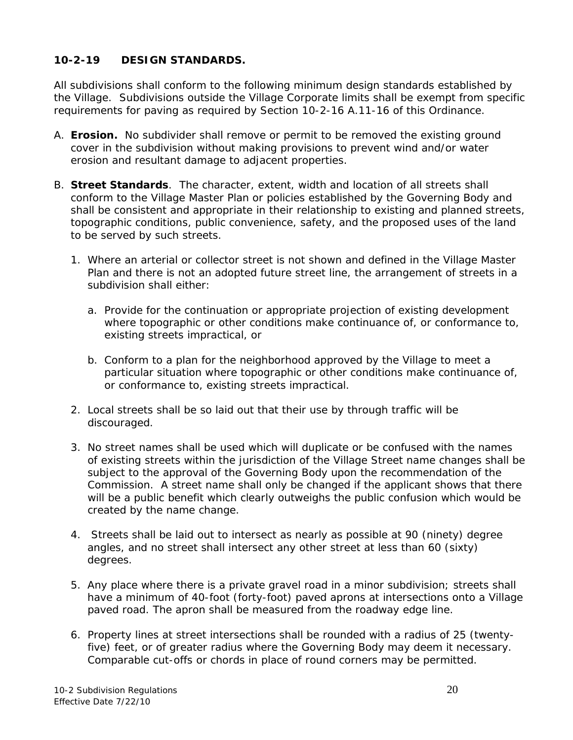## **10-2-19 DESIGN STANDARDS.**

All subdivisions shall conform to the following minimum design standards established by the Village. Subdivisions outside the Village Corporate limits shall be exempt from specific requirements for paving as required by Section 10-2-16 A.11-16 of this Ordinance.

- A. **Erosion.** No subdivider shall remove or permit to be removed the existing ground cover in the subdivision without making provisions to prevent wind and/or water erosion and resultant damage to adjacent properties.
- B. **Street Standards**. The character, extent, width and location of all streets shall conform to the Village Master Plan or policies established by the Governing Body and shall be consistent and appropriate in their relationship to existing and planned streets, topographic conditions, public convenience, safety, and the proposed uses of the land to be served by such streets.
	- 1. Where an arterial or collector street is not shown and defined in the Village Master Plan and there is not an adopted future street line, the arrangement of streets in a subdivision shall either:
		- a. Provide for the continuation or appropriate projection of existing development where topographic or other conditions make continuance of, or conformance to, existing streets impractical, or
		- b. Conform to a plan for the neighborhood approved by the Village to meet a particular situation where topographic or other conditions make continuance of, or conformance to, existing streets impractical.
	- 2. Local streets shall be so laid out that their use by through traffic will be discouraged.
	- 3. No street names shall be used which will duplicate or be confused with the names of existing streets within the jurisdiction of the Village Street name changes shall be subject to the approval of the Governing Body upon the recommendation of the Commission. A street name shall only be changed if the applicant shows that there will be a public benefit which clearly outweighs the public confusion which would be created by the name change.
	- 4. Streets shall be laid out to intersect as nearly as possible at 90 (ninety) degree angles, and no street shall intersect any other street at less than 60 (sixty) degrees.
	- 5. Any place where there is a private gravel road in a minor subdivision; streets shall have a minimum of 40-foot (forty-foot) paved aprons at intersections onto a Village paved road. The apron shall be measured from the roadway edge line.
	- 6. Property lines at street intersections shall be rounded with a radius of 25 (twentyfive) feet, or of greater radius where the Governing Body may deem it necessary. Comparable cut-offs or chords in place of round corners may be permitted.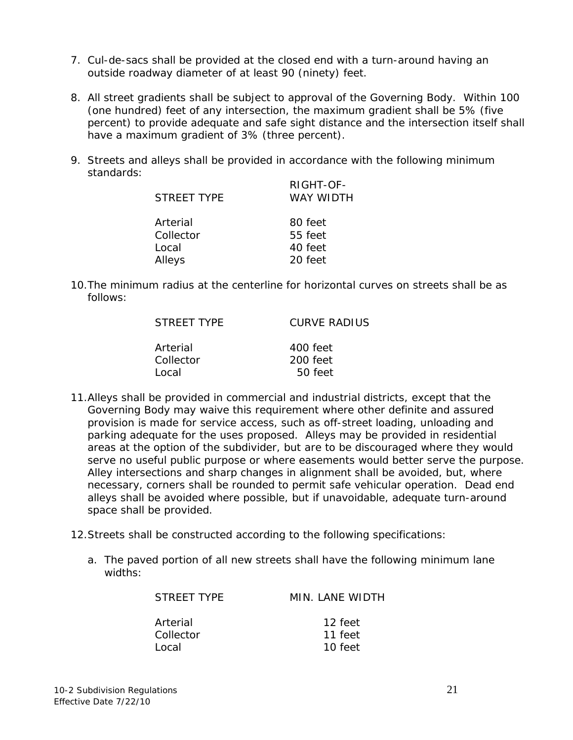- 7. Cul-de-sacs shall be provided at the closed end with a turn-around having an outside roadway diameter of at least 90 (ninety) feet.
- 8. All street gradients shall be subject to approval of the Governing Body. Within 100 (one hundred) feet of any intersection, the maximum gradient shall be 5% (five percent) to provide adequate and safe sight distance and the intersection itself shall have a maximum gradient of 3% (three percent).
- 9. Streets and alleys shall be provided in accordance with the following minimum standards: RIGHT-OF-

| $R$ I $G$ H $I$ - $O$ F-<br>WAY WIDTH |
|---------------------------------------|
| 80 feet                               |
| 55 feet                               |
| 40 feet                               |
| 20 feet                               |
|                                       |

10.The minimum radius at the centerline for horizontal curves on streets shall be as follows:

| STREET TYPE | CURVE RADIUS |
|-------------|--------------|
| Arterial    | 400 feet     |
| Collector   | 200 feet     |
| Tocal       | 50 feet      |

- 11.Alleys shall be provided in commercial and industrial districts, except that the Governing Body may waive this requirement where other definite and assured provision is made for service access, such as off-street loading, unloading and parking adequate for the uses proposed. Alleys may be provided in residential areas at the option of the subdivider, but are to be discouraged where they would serve no useful public purpose or where easements would better serve the purpose. Alley intersections and sharp changes in alignment shall be avoided, but, where necessary, corners shall be rounded to permit safe vehicular operation. Dead end alleys shall be avoided where possible, but if unavoidable, adequate turn-around space shall be provided.
- 12.Streets shall be constructed according to the following specifications:
	- a. The paved portion of all new streets shall have the following minimum lane widths:

| MIN. LANE WIDTH |
|-----------------|
| 12 feet         |
| 11 feet         |
| 10 feet         |
|                 |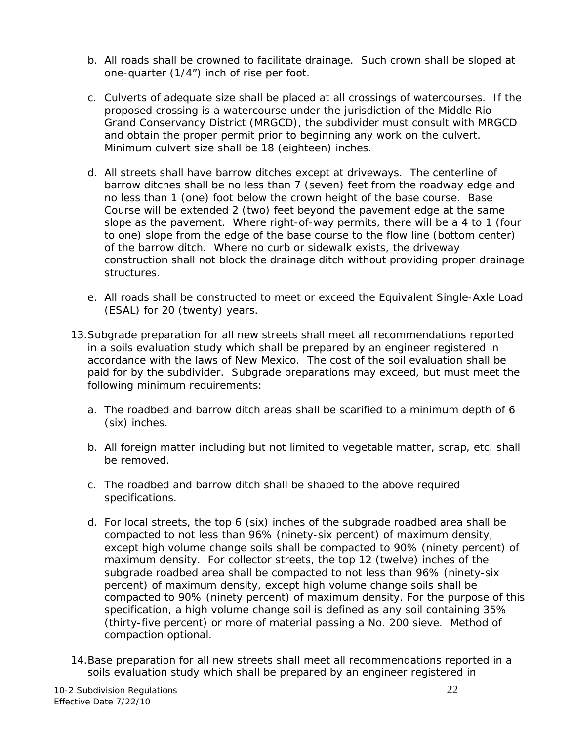- b. All roads shall be crowned to facilitate drainage. Such crown shall be sloped at one-quarter (1/4") inch of rise per foot.
- c. Culverts of adequate size shall be placed at all crossings of watercourses. If the proposed crossing is a watercourse under the jurisdiction of the Middle Rio Grand Conservancy District (MRGCD), the subdivider must consult with MRGCD and obtain the proper permit prior to beginning any work on the culvert. Minimum culvert size shall be 18 (eighteen) inches.
- d. All streets shall have barrow ditches except at driveways. The centerline of barrow ditches shall be no less than 7 (seven) feet from the roadway edge and no less than 1 (one) foot below the crown height of the base course. Base Course will be extended 2 (two) feet beyond the pavement edge at the same slope as the pavement. Where right-of-way permits, there will be a 4 to 1 (four to one) slope from the edge of the base course to the flow line (bottom center) of the barrow ditch. Where no curb or sidewalk exists, the driveway construction shall not block the drainage ditch without providing proper drainage structures.
- e. All roads shall be constructed to meet or exceed the Equivalent Single-Axle Load (ESAL) for 20 (twenty) years.
- 13.Subgrade preparation for all new streets shall meet all recommendations reported in a soils evaluation study which shall be prepared by an engineer registered in accordance with the laws of New Mexico. The cost of the soil evaluation shall be paid for by the subdivider. Subgrade preparations may exceed, but must meet the following minimum requirements:
	- a. The roadbed and barrow ditch areas shall be scarified to a minimum depth of 6 (six) inches.
	- b. All foreign matter including but not limited to vegetable matter, scrap, etc. shall be removed.
	- c. The roadbed and barrow ditch shall be shaped to the above required specifications.
	- d. For local streets, the top 6 (six) inches of the subgrade roadbed area shall be compacted to not less than 96% (ninety-six percent) of maximum density, except high volume change soils shall be compacted to 90% (ninety percent) of maximum density. For collector streets, the top 12 (twelve) inches of the subgrade roadbed area shall be compacted to not less than 96% (ninety-six percent) of maximum density, except high volume change soils shall be compacted to 90% (ninety percent) of maximum density. For the purpose of this specification, a high volume change soil is defined as any soil containing 35% (thirty-five percent) or more of material passing a No. 200 sieve. Method of compaction optional.
- 14.Base preparation for all new streets shall meet all recommendations reported in a soils evaluation study which shall be prepared by an engineer registered in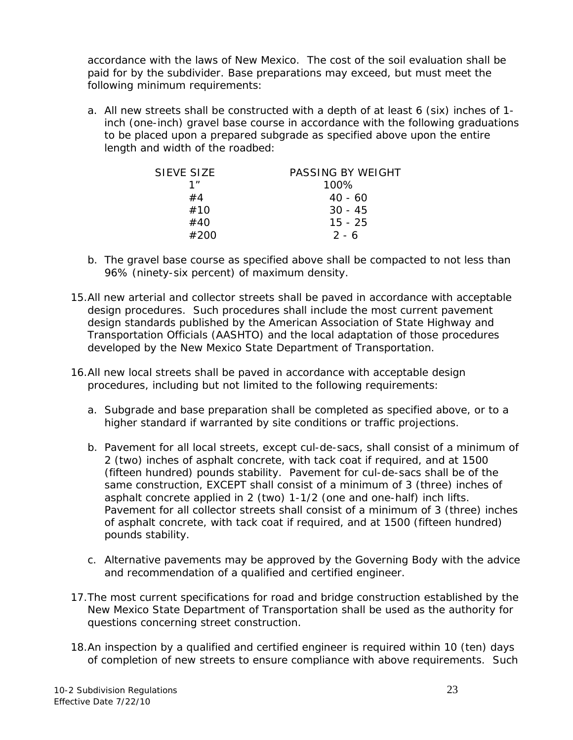accordance with the laws of New Mexico. The cost of the soil evaluation shall be paid for by the subdivider. Base preparations may exceed, but must meet the following minimum requirements:

a. All new streets shall be constructed with a depth of at least 6 (six) inches of 1 inch (one-inch) gravel base course in accordance with the following graduations to be placed upon a prepared subgrade as specified above upon the entire length and width of the roadbed:

| SIFVF SIZF | PASSING BY WEIGHT |
|------------|-------------------|
| 1"         | 100%              |
| #4         | $40 - 60$         |
| #10        | $30 - 45$         |
| #40        | $15 - 25$         |
| #200       | $2 - 6$           |

- b. The gravel base course as specified above shall be compacted to not less than 96% (ninety-six percent) of maximum density.
- 15.All new arterial and collector streets shall be paved in accordance with acceptable design procedures. Such procedures shall include the most current pavement design standards published by the American Association of State Highway and Transportation Officials (AASHTO) and the local adaptation of those procedures developed by the New Mexico State Department of Transportation.
- 16.All new local streets shall be paved in accordance with acceptable design procedures, including but not limited to the following requirements:
	- a. Subgrade and base preparation shall be completed as specified above, or to a higher standard if warranted by site conditions or traffic projections.
	- b. Pavement for all local streets, except cul-de-sacs, shall consist of a minimum of 2 (two) inches of asphalt concrete, with tack coat if required, and at 1500 (fifteen hundred) pounds stability. Pavement for cul-de-sacs shall be of the same construction, EXCEPT shall consist of a minimum of 3 (three) inches of asphalt concrete applied in 2 (two) 1-1/2 (one and one-half) inch lifts. Pavement for all collector streets shall consist of a minimum of 3 (three) inches of asphalt concrete, with tack coat if required, and at 1500 (fifteen hundred) pounds stability.
	- c. Alternative pavements may be approved by the Governing Body with the advice and recommendation of a qualified and certified engineer.
- 17.The most current specifications for road and bridge construction established by the New Mexico State Department of Transportation shall be used as the authority for questions concerning street construction.
- 18.An inspection by a qualified and certified engineer is required within 10 (ten) days of completion of new streets to ensure compliance with above requirements. Such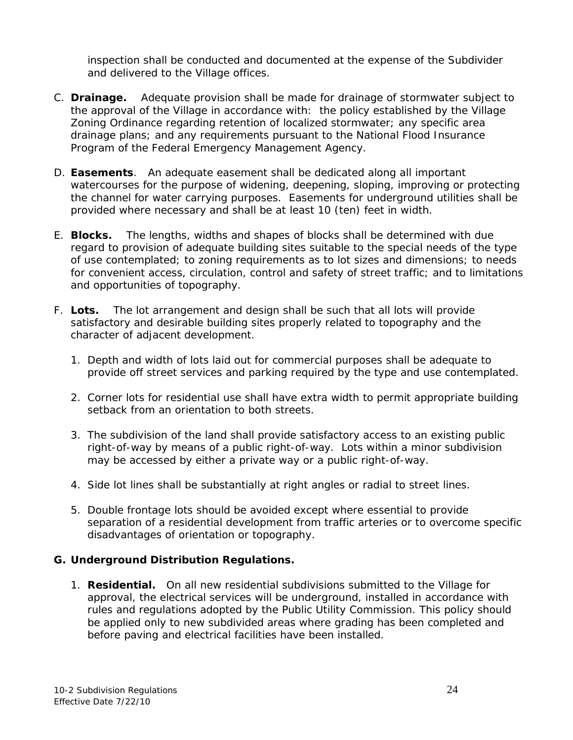inspection shall be conducted and documented at the expense of the Subdivider and delivered to the Village offices.

- C. **Drainage.** Adequate provision shall be made for drainage of stormwater subject to the approval of the Village in accordance with: the policy established by the Village Zoning Ordinance regarding retention of localized stormwater; any specific area drainage plans; and any requirements pursuant to the National Flood Insurance Program of the Federal Emergency Management Agency.
- D. **Easements**. An adequate easement shall be dedicated along all important watercourses for the purpose of widening, deepening, sloping, improving or protecting the channel for water carrying purposes. Easements for underground utilities shall be provided where necessary and shall be at least 10 (ten) feet in width.
- E. **Blocks.** The lengths, widths and shapes of blocks shall be determined with due regard to provision of adequate building sites suitable to the special needs of the type of use contemplated; to zoning requirements as to lot sizes and dimensions; to needs for convenient access, circulation, control and safety of street traffic; and to limitations and opportunities of topography.
- F. **Lots.** The lot arrangement and design shall be such that all lots will provide satisfactory and desirable building sites properly related to topography and the character of adjacent development.
	- 1. Depth and width of lots laid out for commercial purposes shall be adequate to provide off street services and parking required by the type and use contemplated.
	- 2. Corner lots for residential use shall have extra width to permit appropriate building setback from an orientation to both streets.
	- 3. The subdivision of the land shall provide satisfactory access to an existing public right-of-way by means of a public right-of-way. Lots within a minor subdivision may be accessed by either a private way or a public right-of-way.
	- 4. Side lot lines shall be substantially at right angles or radial to street lines.
	- 5. Double frontage lots should be avoided except where essential to provide separation of a residential development from traffic arteries or to overcome specific disadvantages of orientation or topography.

#### **G. Underground Distribution Regulations.**

1. **Residential.** On all new residential subdivisions submitted to the Village for approval, the electrical services will be underground, installed in accordance with rules and regulations adopted by the Public Utility Commission. This policy should be applied only to new subdivided areas where grading has been completed and before paving and electrical facilities have been installed.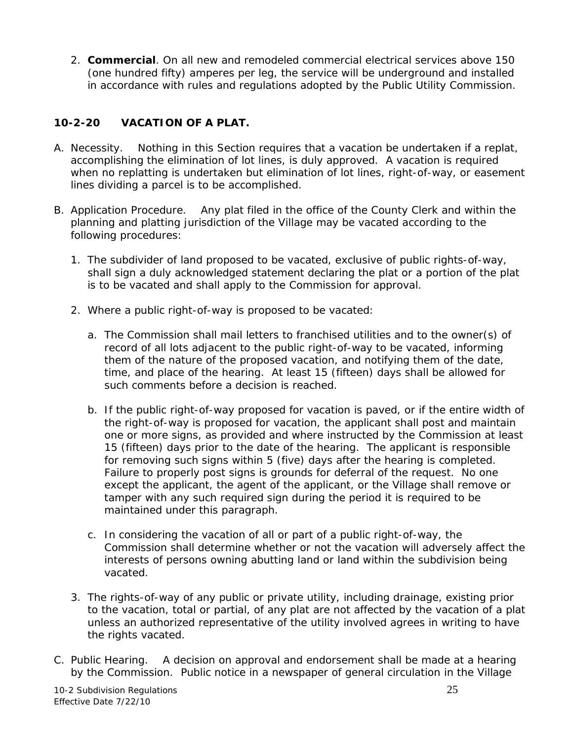2. **Commercial**. On all new and remodeled commercial electrical services above 150 (one hundred fifty) amperes per leg, the service will be underground and installed in accordance with rules and regulations adopted by the Public Utility Commission.

## **10-2-20 VACATION OF A PLAT.**

- A. Necessity. Nothing in this Section requires that a vacation be undertaken if a replat, accomplishing the elimination of lot lines, is duly approved. A vacation is required when no replatting is undertaken but elimination of lot lines, right-of-way, or easement lines dividing a parcel is to be accomplished.
- B. Application Procedure. Any plat filed in the office of the County Clerk and within the planning and platting jurisdiction of the Village may be vacated according to the following procedures:
	- 1. The subdivider of land proposed to be vacated, exclusive of public rights-of-way, shall sign a duly acknowledged statement declaring the plat or a portion of the plat is to be vacated and shall apply to the Commission for approval.
	- 2. Where a public right-of-way is proposed to be vacated:
		- a. The Commission shall mail letters to franchised utilities and to the owner(s) of record of all lots adjacent to the public right-of-way to be vacated, informing them of the nature of the proposed vacation, and notifying them of the date, time, and place of the hearing. At least 15 (fifteen) days shall be allowed for such comments before a decision is reached.
		- b. If the public right-of-way proposed for vacation is paved, or if the entire width of the right-of-way is proposed for vacation, the applicant shall post and maintain one or more signs, as provided and where instructed by the Commission at least 15 (fifteen) days prior to the date of the hearing. The applicant is responsible for removing such signs within 5 (five) days after the hearing is completed. Failure to properly post signs is grounds for deferral of the request. No one except the applicant, the agent of the applicant, or the Village shall remove or tamper with any such required sign during the period it is required to be maintained under this paragraph.
		- c. In considering the vacation of all or part of a public right-of-way, the Commission shall determine whether or not the vacation will adversely affect the interests of persons owning abutting land or land within the subdivision being vacated.
	- 3. The rights-of-way of any public or private utility, including drainage, existing prior to the vacation, total or partial, of any plat are not affected by the vacation of a plat unless an authorized representative of the utility involved agrees in writing to have the rights vacated.
- C. Public Hearing. A decision on approval and endorsement shall be made at a hearing by the Commission. Public notice in a newspaper of general circulation in the Village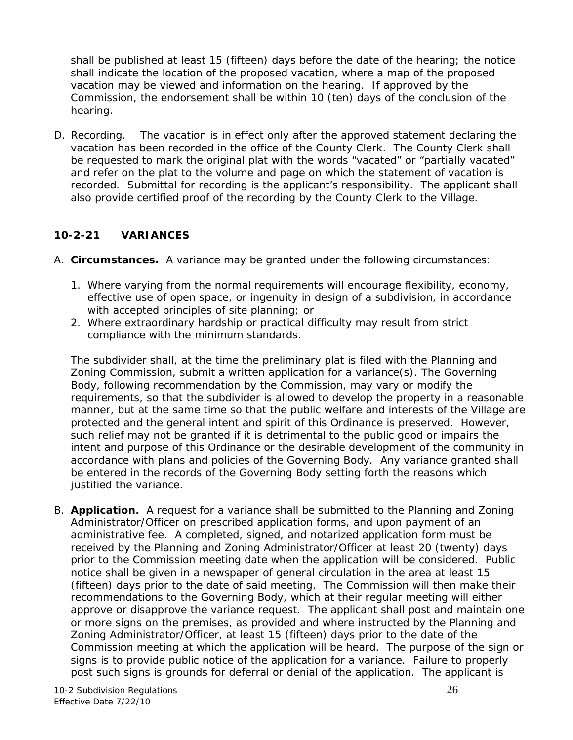shall be published at least 15 (fifteen) days before the date of the hearing; the notice shall indicate the location of the proposed vacation, where a map of the proposed vacation may be viewed and information on the hearing. If approved by the Commission, the endorsement shall be within 10 (ten) days of the conclusion of the hearing.

D. Recording. The vacation is in effect only after the approved statement declaring the vacation has been recorded in the office of the County Clerk. The County Clerk shall be requested to mark the original plat with the words "vacated" or "partially vacated" and refer on the plat to the volume and page on which the statement of vacation is recorded. Submittal for recording is the applicant's responsibility. The applicant shall also provide certified proof of the recording by the County Clerk to the Village.

#### **10-2-21 VARIANCES**

- A. **Circumstances.** A variance may be granted under the following circumstances:
	- 1. Where varying from the normal requirements will encourage flexibility, economy, effective use of open space, or ingenuity in design of a subdivision, in accordance with accepted principles of site planning; or
	- 2. Where extraordinary hardship or practical difficulty may result from strict compliance with the minimum standards.

The subdivider shall, at the time the preliminary plat is filed with the Planning and Zoning Commission, submit a written application for a variance(s). The Governing Body, following recommendation by the Commission, may vary or modify the requirements, so that the subdivider is allowed to develop the property in a reasonable manner, but at the same time so that the public welfare and interests of the Village are protected and the general intent and spirit of this Ordinance is preserved. However, such relief may not be granted if it is detrimental to the public good or impairs the intent and purpose of this Ordinance or the desirable development of the community in accordance with plans and policies of the Governing Body. Any variance granted shall be entered in the records of the Governing Body setting forth the reasons which justified the variance.

B. **Application.** A request for a variance shall be submitted to the Planning and Zoning Administrator/Officer on prescribed application forms, and upon payment of an administrative fee. A completed, signed, and notarized application form must be received by the Planning and Zoning Administrator/Officer at least 20 (twenty) days prior to the Commission meeting date when the application will be considered. Public notice shall be given in a newspaper of general circulation in the area at least 15 (fifteen) days prior to the date of said meeting. The Commission will then make their recommendations to the Governing Body, which at their regular meeting will either approve or disapprove the variance request. The applicant shall post and maintain one or more signs on the premises, as provided and where instructed by the Planning and Zoning Administrator/Officer, at least 15 (fifteen) days prior to the date of the Commission meeting at which the application will be heard. The purpose of the sign or signs is to provide public notice of the application for a variance. Failure to properly post such signs is grounds for deferral or denial of the application. The applicant is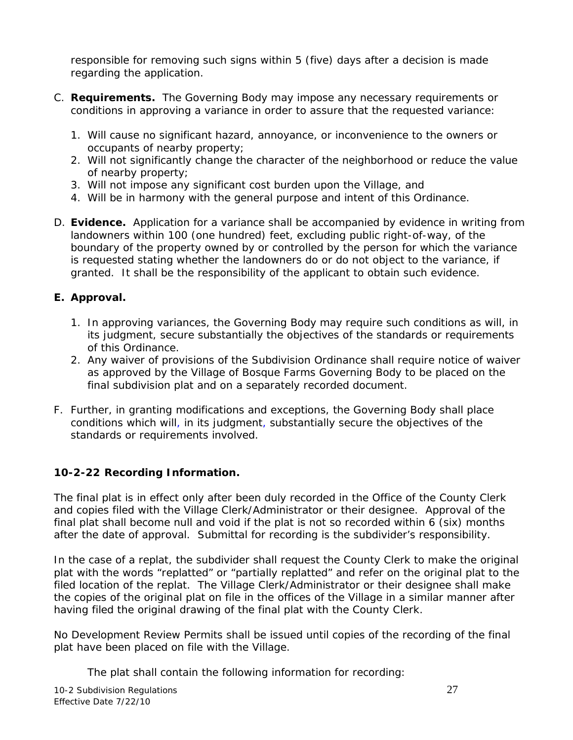responsible for removing such signs within 5 (five) days after a decision is made regarding the application.

- C. **Requirements.** The Governing Body may impose any necessary requirements or conditions in approving a variance in order to assure that the requested variance:
	- 1. Will cause no significant hazard, annoyance, or inconvenience to the owners or occupants of nearby property;
	- 2. Will not significantly change the character of the neighborhood or reduce the value of nearby property;
	- 3. Will not impose any significant cost burden upon the Village, and
	- 4. Will be in harmony with the general purpose and intent of this Ordinance.
- D. **Evidence.** Application for a variance shall be accompanied by evidence in writing from landowners within 100 (one hundred) feet, excluding public right-of-way, of the boundary of the property owned by or controlled by the person for which the variance is requested stating whether the landowners do or do not object to the variance, if granted. It shall be the responsibility of the applicant to obtain such evidence.

## **E. Approval.**

- 1. In approving variances, the Governing Body may require such conditions as will, in its judgment, secure substantially the objectives of the standards or requirements of this Ordinance.
- 2. Any waiver of provisions of the Subdivision Ordinance shall require notice of waiver as approved by the Village of Bosque Farms Governing Body to be placed on the final subdivision plat and on a separately recorded document.
- F. Further, in granting modifications and exceptions, the Governing Body shall place conditions which will, in its judgment, substantially secure the objectives of the standards or requirements involved.

## **10-2-22 Recording Information.**

The final plat is in effect only after been duly recorded in the Office of the County Clerk and copies filed with the Village Clerk/Administrator or their designee. Approval of the final plat shall become null and void if the plat is not so recorded within 6 (six) months after the date of approval. Submittal for recording is the subdivider's responsibility.

In the case of a replat, the subdivider shall request the County Clerk to make the original plat with the words "replatted" or "partially replatted" and refer on the original plat to the filed location of the replat. The Village Clerk/Administrator or their designee shall make the copies of the original plat on file in the offices of the Village in a similar manner after having filed the original drawing of the final plat with the County Clerk.

No Development Review Permits shall be issued until copies of the recording of the final plat have been placed on file with the Village.

The plat shall contain the following information for recording: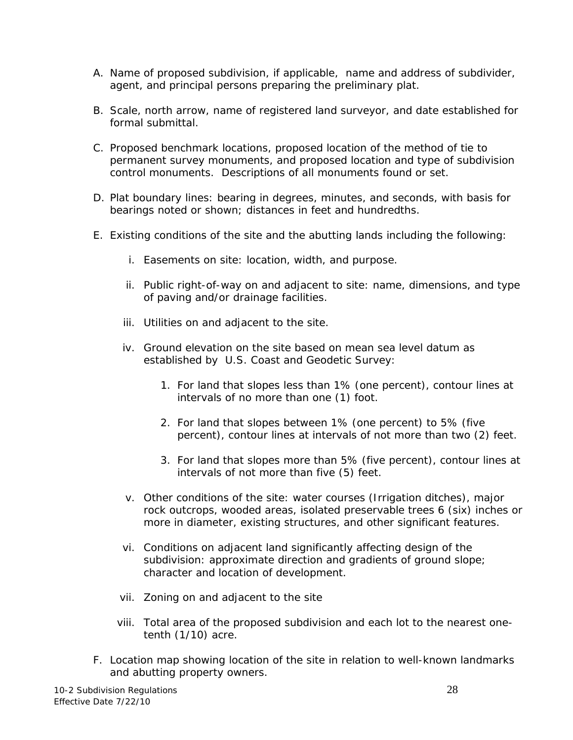- A. Name of proposed subdivision, if applicable, name and address of subdivider, agent, and principal persons preparing the preliminary plat.
- B. Scale, north arrow, name of registered land surveyor, and date established for formal submittal.
- C. Proposed benchmark locations, proposed location of the method of tie to permanent survey monuments, and proposed location and type of subdivision control monuments. Descriptions of all monuments found or set.
- D. Plat boundary lines: bearing in degrees, minutes, and seconds, with basis for bearings noted or shown; distances in feet and hundredths.
- E. Existing conditions of the site and the abutting lands including the following:
	- i. Easements on site: location, width, and purpose.
	- ii. Public right-of-way on and adjacent to site: name, dimensions, and type of paving and/or drainage facilities.
	- iii. Utilities on and adjacent to the site.
	- iv. Ground elevation on the site based on mean sea level datum as established by U.S. Coast and Geodetic Survey:
		- 1. For land that slopes less than 1% (one percent), contour lines at intervals of no more than one (1) foot.
		- 2. For land that slopes between 1% (one percent) to 5% (five percent), contour lines at intervals of not more than two (2) feet.
		- 3. For land that slopes more than 5% (five percent), contour lines at intervals of not more than five (5) feet.
	- v. Other conditions of the site: water courses (Irrigation ditches), major rock outcrops, wooded areas, isolated preservable trees 6 (six) inches or more in diameter, existing structures, and other significant features.
	- vi. Conditions on adjacent land significantly affecting design of the subdivision: approximate direction and gradients of ground slope; character and location of development.
	- vii. Zoning on and adjacent to the site
	- viii. Total area of the proposed subdivision and each lot to the nearest onetenth (1/10) acre.
- F. Location map showing location of the site in relation to well-known landmarks and abutting property owners.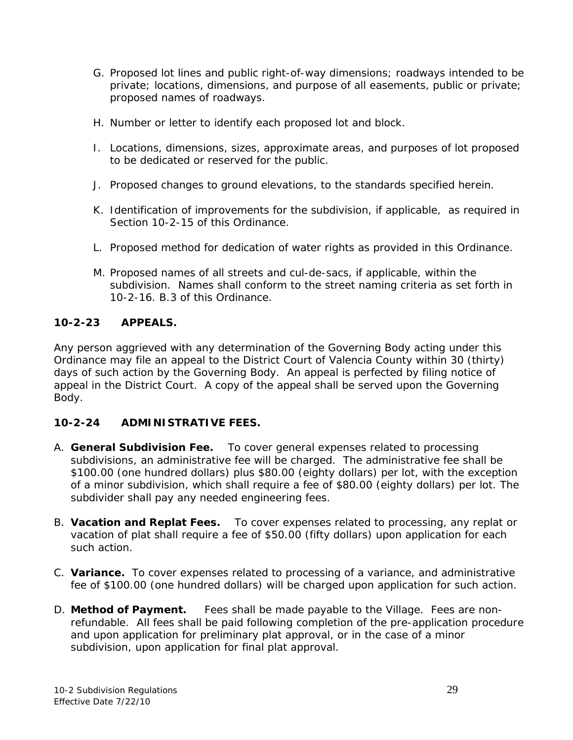- G. Proposed lot lines and public right-of-way dimensions; roadways intended to be private; locations, dimensions, and purpose of all easements, public or private; proposed names of roadways.
- H. Number or letter to identify each proposed lot and block.
- I. Locations, dimensions, sizes, approximate areas, and purposes of lot proposed to be dedicated or reserved for the public.
- J. Proposed changes to ground elevations, to the standards specified herein.
- K. Identification of improvements for the subdivision, if applicable, as required in Section 10-2-15 of this Ordinance.
- L. Proposed method for dedication of water rights as provided in this Ordinance.
- M. Proposed names of all streets and cul-de-sacs, if applicable, within the subdivision. Names shall conform to the street naming criteria as set forth in 10-2-16. B.3 of this Ordinance.

## **10-2-23 APPEALS.**

Any person aggrieved with any determination of the Governing Body acting under this Ordinance may file an appeal to the District Court of Valencia County within 30 (thirty) days of such action by the Governing Body. An appeal is perfected by filing notice of appeal in the District Court. A copy of the appeal shall be served upon the Governing Body.

## **10-2-24 ADMINISTRATIVE FEES.**

- A. **General Subdivision Fee.** To cover general expenses related to processing subdivisions, an administrative fee will be charged. The administrative fee shall be \$100.00 (one hundred dollars) plus \$80.00 (eighty dollars) per lot, with the exception of a minor subdivision, which shall require a fee of \$80.00 (eighty dollars) per lot. The subdivider shall pay any needed engineering fees.
- B. **Vacation and Replat Fees.** To cover expenses related to processing, any replat or vacation of plat shall require a fee of \$50.00 (fifty dollars) upon application for each such action.
- C. **Variance.** To cover expenses related to processing of a variance, and administrative fee of \$100.00 (one hundred dollars) will be charged upon application for such action.
- D. **Method of Payment.** Fees shall be made payable to the Village. Fees are nonrefundable. All fees shall be paid following completion of the pre-application procedure and upon application for preliminary plat approval, or in the case of a minor subdivision, upon application for final plat approval.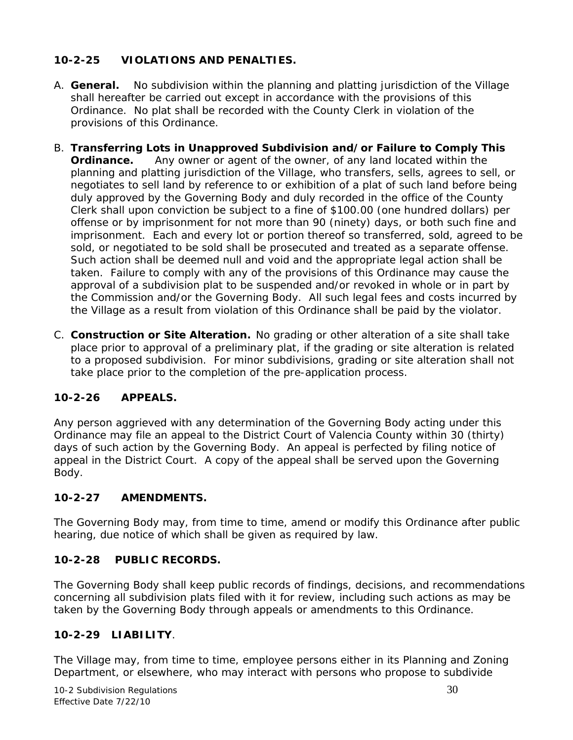# **10-2-25 VIOLATIONS AND PENALTIES.**

- A. **General.** No subdivision within the planning and platting jurisdiction of the Village shall hereafter be carried out except in accordance with the provisions of this Ordinance. No plat shall be recorded with the County Clerk in violation of the provisions of this Ordinance.
- B. **Transferring Lots in Unapproved Subdivision and/or Failure to Comply This Ordinance.** Any owner or agent of the owner, of any land located within the planning and platting jurisdiction of the Village, who transfers, sells, agrees to sell, or negotiates to sell land by reference to or exhibition of a plat of such land before being duly approved by the Governing Body and duly recorded in the office of the County Clerk shall upon conviction be subject to a fine of \$100.00 (one hundred dollars) per offense or by imprisonment for not more than 90 (ninety) days, or both such fine and imprisonment. Each and every lot or portion thereof so transferred, sold, agreed to be sold, or negotiated to be sold shall be prosecuted and treated as a separate offense. Such action shall be deemed null and void and the appropriate legal action shall be taken. Failure to comply with any of the provisions of this Ordinance may cause the approval of a subdivision plat to be suspended and/or revoked in whole or in part by the Commission and/or the Governing Body. All such legal fees and costs incurred by the Village as a result from violation of this Ordinance shall be paid by the violator.
- C. **Construction or Site Alteration.** No grading or other alteration of a site shall take place prior to approval of a preliminary plat, if the grading or site alteration is related to a proposed subdivision. For minor subdivisions, grading or site alteration shall not take place prior to the completion of the pre-application process.

# **10-2-26 APPEALS.**

Any person aggrieved with any determination of the Governing Body acting under this Ordinance may file an appeal to the District Court of Valencia County within 30 (thirty) days of such action by the Governing Body. An appeal is perfected by filing notice of appeal in the District Court. A copy of the appeal shall be served upon the Governing Body.

## **10-2-27 AMENDMENTS.**

The Governing Body may, from time to time, amend or modify this Ordinance after public hearing, due notice of which shall be given as required by law.

# **10-2-28 PUBLIC RECORDS.**

The Governing Body shall keep public records of findings, decisions, and recommendations concerning all subdivision plats filed with it for review, including such actions as may be taken by the Governing Body through appeals or amendments to this Ordinance.

## **10-2-29 LIABILITY**.

The Village may, from time to time, employee persons either in its Planning and Zoning Department, or elsewhere, who may interact with persons who propose to subdivide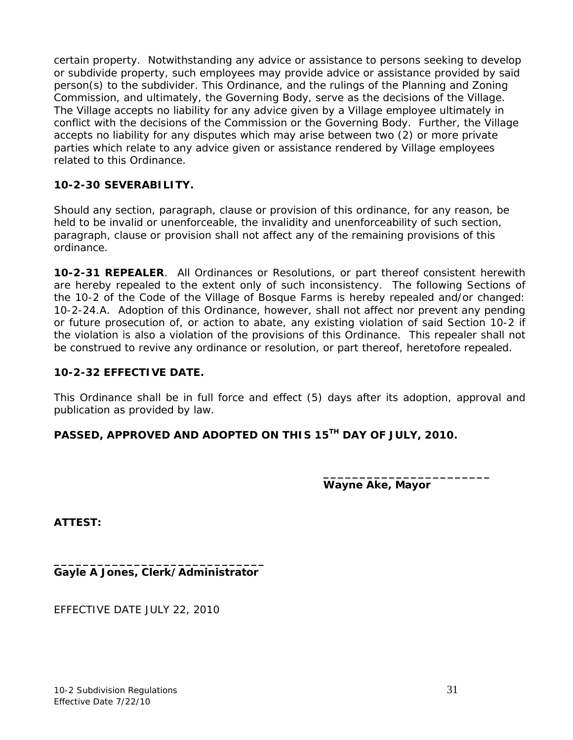certain property. Notwithstanding any advice or assistance to persons seeking to develop or subdivide property, such employees may provide advice or assistance provided by said person(s) to the subdivider. This Ordinance, and the rulings of the Planning and Zoning Commission, and ultimately, the Governing Body, serve as the decisions of the Village. The Village accepts no liability for any advice given by a Village employee ultimately in conflict with the decisions of the Commission or the Governing Body. Further, the Village accepts no liability for any disputes which may arise between two (2) or more private parties which relate to any advice given or assistance rendered by Village employees related to this Ordinance.

#### **10-2-30 SEVERABILITY.**

Should any section, paragraph, clause or provision of this ordinance, for any reason, be held to be invalid or unenforceable, the invalidity and unenforceability of such section, paragraph, clause or provision shall not affect any of the remaining provisions of this ordinance.

**10-2-31 REPEALER**. All Ordinances or Resolutions, or part thereof consistent herewith are hereby repealed to the extent only of such inconsistency. The following Sections of the 10-2 of the Code of the Village of Bosque Farms is hereby repealed and/or changed: 10-2-24.A. Adoption of this Ordinance, however, shall not affect nor prevent any pending or future prosecution of, or action to abate, any existing violation of said Section 10-2 if the violation is also a violation of the provisions of this Ordinance. This repealer shall not be construed to revive any ordinance or resolution, or part thereof, heretofore repealed.

#### **10-2-32 EFFECTIVE DATE.**

This Ordinance shall be in full force and effect (5) days after its adoption, approval and publication as provided by law.

**PASSED, APPROVED AND ADOPTED ON THIS 15TH DAY OF JULY, 2010.**

**\_\_\_\_\_\_\_\_\_\_\_\_\_\_\_\_\_\_\_\_\_\_\_ Wayne Ake, Mayor**

**ATTEST:**

**\_\_\_\_\_\_\_\_\_\_\_\_\_\_\_\_\_\_\_\_\_\_\_\_\_\_\_\_\_ Gayle A Jones, Clerk/Administrator**

EFFECTIVE DATE JULY 22, 2010